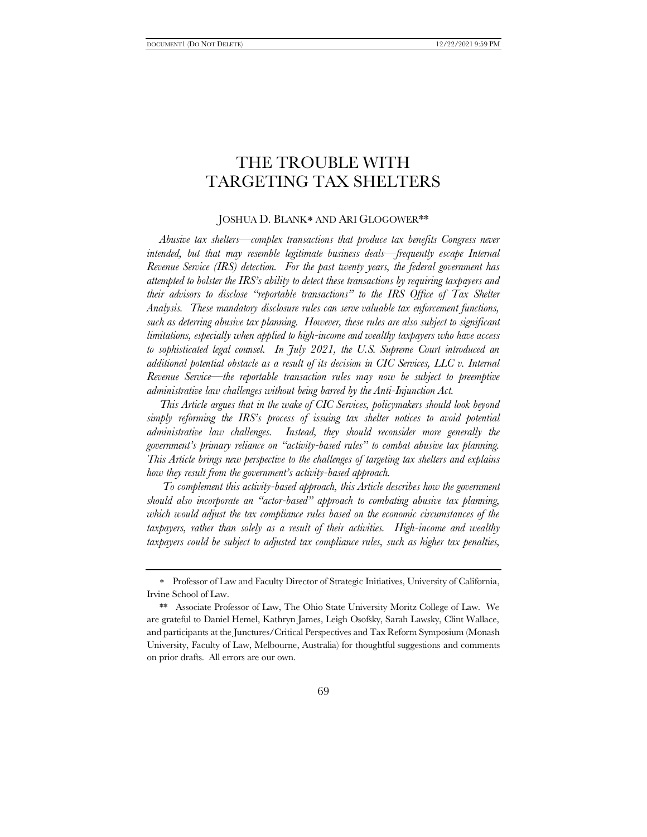# THE TROUBLE WITH TARGETING TAX SHELTERS

#### JOSHUA D. BLANK\* AND ARI GLOGOWER\*\*

*Abusive tax shelters—complex transactions that produce tax benefits Congress never intended, but that may resemble legitimate business deals—frequently escape Internal Revenue Service (IRS) detection. For the past twenty years, the federal government has attempted to bolster the IRS's ability to detect these transactions by requiring taxpayers and their advisors to disclose "reportable transactions" to the IRS Office of Tax Shelter Analysis. These mandatory disclosure rules can serve valuable tax enforcement functions, such as deterring abusive tax planning. However, these rules are also subject to significant limitations, especially when applied to high-income and wealthy taxpayers who have access to sophisticated legal counsel. In July 2021, the U.S. Supreme Court introduced an additional potential obstacle as a result of its decision in CIC Services, LLC v. Internal Revenue Service—the reportable transaction rules may now be subject to preemptive administrative law challenges without being barred by the Anti-Injunction Act.* 

*This Article argues that in the wake of CIC Services, policymakers should look beyond simply reforming the IRS's process of issuing tax shelter notices to avoid potential administrative law challenges. Instead, they should reconsider more generally the government's primary reliance on "activity-based rules" to combat abusive tax planning. This Article brings new perspective to the challenges of targeting tax shelters and explains how they result from the government's activity-based approach.*

*To complement this activity-based approach, this Article describes how the government should also incorporate an "actor-based" approach to combating abusive tax planning, which would adjust the tax compliance rules based on the economic circumstances of the taxpayers, rather than solely as a result of their activities. High-income and wealthy taxpayers could be subject to adjusted tax compliance rules, such as higher tax penalties,* 

Professor of Law and Faculty Director of Strategic Initiatives, University of California, Irvine School of Law.

<sup>\*\*</sup> Associate Professor of Law, The Ohio State University Moritz College of Law. We are grateful to Daniel Hemel, Kathryn James, Leigh Osofsky, Sarah Lawsky, Clint Wallace, and participants at the Junctures/Critical Perspectives and Tax Reform Symposium (Monash University, Faculty of Law, Melbourne, Australia) for thoughtful suggestions and comments on prior drafts. All errors are our own.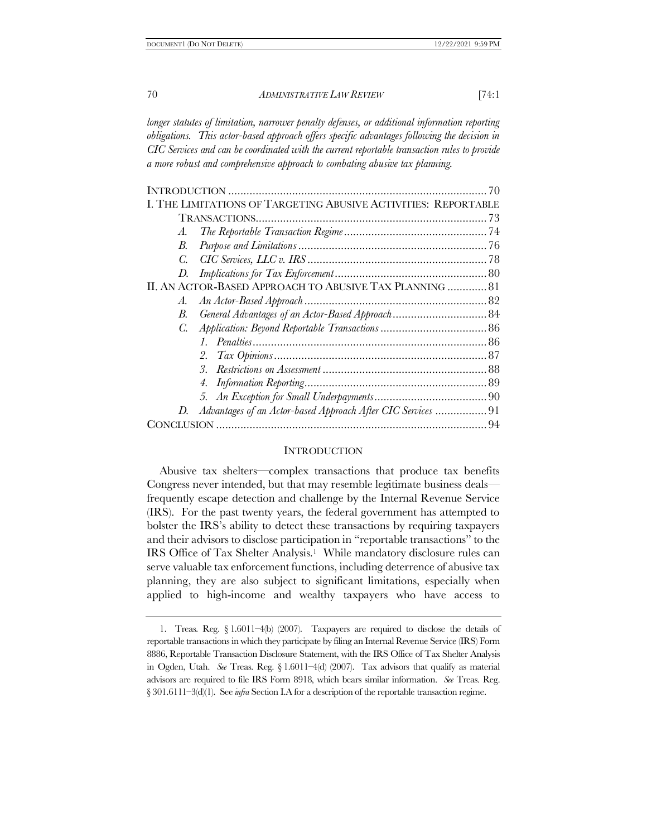*a more robust and comprehensive approach to combating abusive tax planning.*

*longer statutes of limitation, narrower penalty defenses, or additional information reporting obligations. This actor-based approach offers specific advantages following the decision in CIC Services and can be coordinated with the current reportable transaction rules to provide* 

| -70                                                                |  |
|--------------------------------------------------------------------|--|
| I. THE LIMITATIONS OF TARGETING ABUSIVE ACTIVITIES: REPORTABLE     |  |
|                                                                    |  |
| A.                                                                 |  |
| B.                                                                 |  |
| C.                                                                 |  |
| D.                                                                 |  |
| II. AN ACTOR-BASED APPROACH TO ABUSIVE TAX PLANNING  81            |  |
| A.                                                                 |  |
| В.                                                                 |  |
| $C_{\cdot}$                                                        |  |
|                                                                    |  |
|                                                                    |  |
| 3.                                                                 |  |
| 4.                                                                 |  |
|                                                                    |  |
| Advantages of an Actor-based Approach After CIC Services  91<br>D. |  |
|                                                                    |  |

# <span id="page-1-0"></span>**INTRODUCTION**

Abusive tax shelters—complex transactions that produce tax benefits Congress never intended, but that may resemble legitimate business deals frequently escape detection and challenge by the Internal Revenue Service (IRS). For the past twenty years, the federal government has attempted to bolster the IRS's ability to detect these transactions by requiring taxpayers and their advisors to disclose participation in "reportable transactions" to the IRS Office of Tax Shelter Analysis.<sup>1</sup> While mandatory disclosure rules can serve valuable tax enforcement functions, including deterrence of abusive tax planning, they are also subject to significant limitations, especially when applied to high-income and wealthy taxpayers who have access to

<sup>1.</sup> Treas. Reg. § 1.6011–4(b) (2007). Taxpayers are required to disclose the details of reportable transactions in which they participate by filing an Internal Revenue Service (IRS) Form 8886, Reportable Transaction Disclosure Statement, with the IRS Office of Tax Shelter Analysis in Ogden, Utah. *See* Treas. Reg. § 1.6011–4(d) (2007). Tax advisors that qualify as material advisors are required to file IRS Form 8918, which bears similar information. *See* Treas. Reg. § 301.6111-3(d)(1). See *infra* Section [I.A](#page-5-0) for a description of the reportable transaction regime.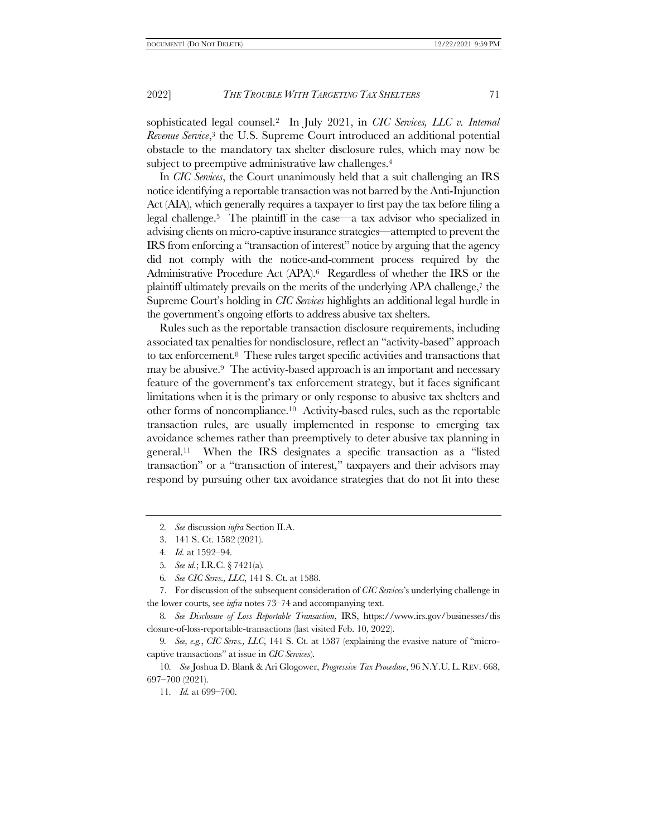sophisticated legal counsel.2 In July 2021, in *CIC Services, LLC v. Internal Revenue Service*, <sup>3</sup> the U.S. Supreme Court introduced an additional potential obstacle to the mandatory tax shelter disclosure rules, which may now be subject to preemptive administrative law challenges.<sup>4</sup>

In *CIC Services*, the Court unanimously held that a suit challenging an IRS notice identifying a reportable transaction was not barred by the Anti-Injunction Act (AIA), which generally requires a taxpayer to first pay the tax before filing a legal challenge.5 The plaintiff in the case—a tax advisor who specialized in advising clients on micro-captive insurance strategies—attempted to prevent the IRS from enforcing a "transaction of interest" notice by arguing that the agency did not comply with the notice-and-comment process required by the Administrative Procedure Act (APA).6 Regardless of whether the IRS or the plaintiff ultimately prevails on the merits of the underlying APA challenge,<sup>7</sup> the Supreme Court's holding in *CIC Services* highlights an additional legal hurdle in the government's ongoing efforts to address abusive tax shelters.

<span id="page-2-0"></span>Rules such as the reportable transaction disclosure requirements, including associated tax penalties for nondisclosure, reflect an "activity-based" approach to tax enforcement. <sup>8</sup> These rules target specific activities and transactions that may be abusive.<sup>9</sup> The activity-based approach is an important and necessary feature of the government's tax enforcement strategy, but it faces significant limitations when it is the primary or only response to abusive tax shelters and other forms of noncompliance.10 Activity-based rules, such as the reportable transaction rules, are usually implemented in response to emerging tax avoidance schemes rather than preemptively to deter abusive tax planning in general.<sup>11</sup> When the IRS designates a specific transaction as a "listed transaction" or a "transaction of interest," taxpayers and their advisors may respond by pursuing other tax avoidance strategies that do not fit into these

- 2*. See* discussion *infra* Section I[I.A.](#page-13-0)
- 3. 141 S. Ct. 1582 (2021).
- 4*. Id.* at 1592–94.
- 5*. See id.*; I.R.C. § 7421(a).
- 6*. See CIC Servs., LLC*, 141 S. Ct. at 1588.

7. For discussion of the subsequent consideration of *CIC Services*'s underlying challenge in the lower courts, see *infra* note[s 73](#page-11-0)–[74](#page-11-1) and accompanying text.

8*. See Disclosure of Loss Reportable Transaction*, IRS, https://www.irs.gov/businesses/dis closure-of-loss-reportable-transactions (last visited Feb. 10, 2022).

9*. See, e.g.*, *CIC Servs., LLC*, 141 S. Ct. at 1587 (explaining the evasive nature of "microcaptive transactions" at issue in *CIC Services*).

10*. See* Joshua D. Blank & Ari Glogower, *Progressive Tax Procedure*, 96 N.Y.U. L. REV. 668, 697–700 (2021).

11*. Id.* at 699–700.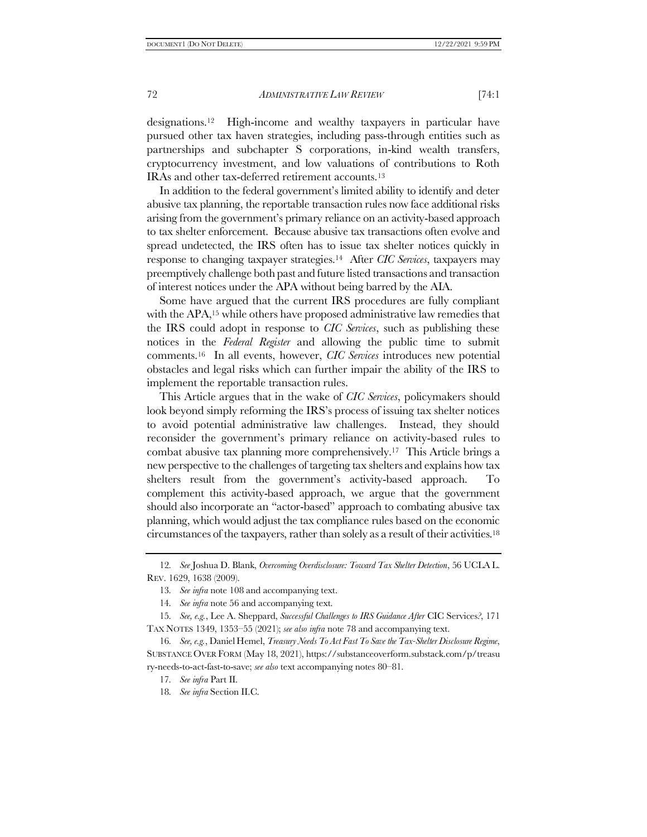<span id="page-3-0"></span>designations.<sup>12</sup> High-income and wealthy taxpayers in particular have pursued other tax haven strategies, including pass-through entities such as partnerships and subchapter S corporations, in-kind wealth transfers, cryptocurrency investment, and low valuations of contributions to Roth IRAs and other tax-deferred retirement accounts.<sup>13</sup>

In addition to the federal government's limited ability to identify and deter abusive tax planning, the reportable transaction rules now face additional risks arising from the government's primary reliance on an activity-based approach to tax shelter enforcement. Because abusive tax transactions often evolve and spread undetected, the IRS often has to issue tax shelter notices quickly in response to changing taxpayer strategies.14 After *CIC Services*, taxpayers may preemptively challenge both past and future listed transactions and transaction of interest notices under the APA without being barred by the AIA.

<span id="page-3-2"></span>Some have argued that the current IRS procedures are fully compliant with the APA,<sup>15</sup> while others have proposed administrative law remedies that the IRS could adopt in response to *CIC Services*, such as publishing these notices in the *Federal Register* and allowing the public time to submit comments.16 In all events, however, *CIC Services* introduces new potential obstacles and legal risks which can further impair the ability of the IRS to implement the reportable transaction rules.

<span id="page-3-1"></span>This Article argues that in the wake of *CIC Services*, policymakers should look beyond simply reforming the IRS's process of issuing tax shelter notices to avoid potential administrative law challenges. Instead, they should reconsider the government's primary reliance on activity-based rules to combat abusive tax planning more comprehensively. <sup>17</sup> This Article brings a new perspective to the challenges of targeting tax shelters and explains how tax shelters result from the government's activity-based approach. To complement this activity-based approach, we argue that the government should also incorporate an "actor-based" approach to combating abusive tax planning, which would adjust the tax compliance rules based on the economic circumstances of the taxpayers, rather than solely as a result of their activities.<sup>18</sup>

<sup>12</sup>*. See* Joshua D. Blank, *Overcoming Overdisclosure: Toward Tax Shelter Detection*, 56 UCLA L. REV. 1629, 1638 (2009).

<sup>13</sup>*. See infra* not[e 108](#page-17-0) and accompanying text.

<sup>14</sup>*. See infra* not[e 56](#page-9-0) and accompanying text.

<sup>15</sup>*. See, e.g.*, Lee A. Sheppard, *Successful Challenges to IRS Guidance After* CIC Services*?*, 171 TAX NOTES 1349, 1353–55 (2021); *see also infra* note [78](#page-12-0) and accompanying text.

<sup>16</sup>*. See, e.g.*, Daniel Hemel, *Treasury Needs To Act Fast To Save the Tax-Shelter Disclosure Regime*, SUBSTANCE OVER FORM (May 18, 2021), https://substanceoverform.substack.com/p/treasu ry-needs-to-act-fast-to-save; *see also* text accompanying note[s 80](#page-12-1)–[81.](#page-12-2)

<sup>17</sup>*. See infra* Par[t II.](#page-12-3)

<sup>18</sup>*. See infra* Section I[I.C.](#page-17-1)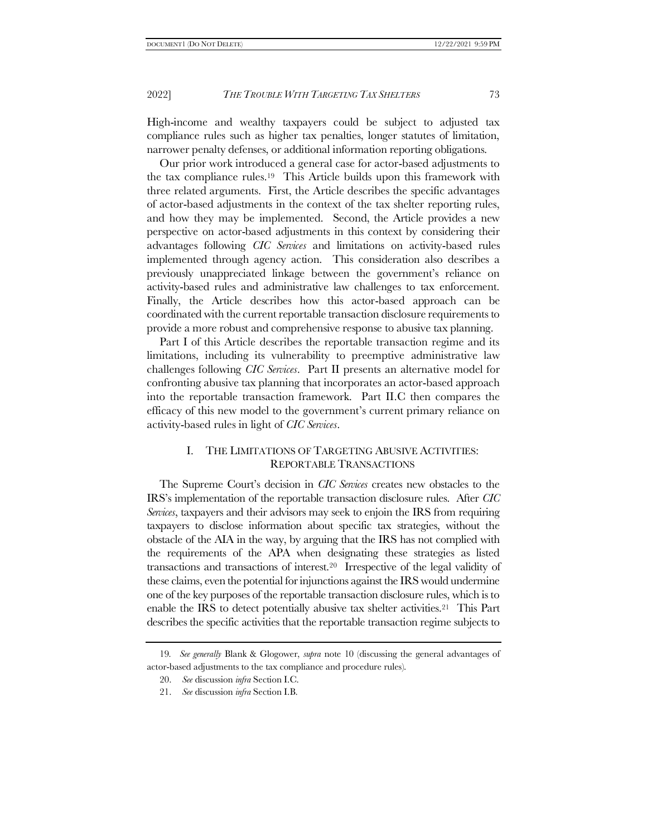High-income and wealthy taxpayers could be subject to adjusted tax compliance rules such as higher tax penalties, longer statutes of limitation, narrower penalty defenses, or additional information reporting obligations.

Our prior work introduced a general case for actor-based adjustments to the tax compliance rules.19 This Article builds upon this framework with three related arguments. First, the Article describes the specific advantages of actor-based adjustments in the context of the tax shelter reporting rules, and how they may be implemented. Second, the Article provides a new perspective on actor-based adjustments in this context by considering their advantages following *CIC Services* and limitations on activity-based rules implemented through agency action. This consideration also describes a previously unappreciated linkage between the government's reliance on activity-based rules and administrative law challenges to tax enforcement. Finally, the Article describes how this actor-based approach can be coordinated with the current reportable transaction disclosure requirements to provide a more robust and comprehensive response to abusive tax planning.

Part I of this Article describes the reportable transaction regime and its limitations, including its vulnerability to preemptive administrative law challenges following *CIC Services*. Part II presents an alternative model for confronting abusive tax planning that incorporates an actor-based approach into the reportable transaction framework. Part II.C then compares the efficacy of this new model to the government's current primary reliance on activity-based rules in light of *CIC Services*.

# I. THE LIMITATIONS OF TARGETING ABUSIVE ACTIVITIES: REPORTABLE TRANSACTIONS

The Supreme Court's decision in *CIC Services* creates new obstacles to the IRS's implementation of the reportable transaction disclosure rules. After *CIC Services*, taxpayers and their advisors may seek to enjoin the IRS from requiring taxpayers to disclose information about specific tax strategies, without the obstacle of the AIA in the way, by arguing that the IRS has not complied with the requirements of the APA when designating these strategies as listed transactions and transactions of interest.20 Irrespective of the legal validity of these claims, even the potential for injunctions against the IRS would undermine one of the key purposes of the reportable transaction disclosure rules, which is to enable the IRS to detect potentially abusive tax shelter activities.<sup>21</sup> This Part describes the specific activities that the reportable transaction regime subjects to

<sup>19</sup>*. See generally* Blank & Glogower, *supra* note [10](#page-2-0) (discussing the general advantages of actor-based adjustments to the tax compliance and procedure rules).

<sup>20.</sup> *See* discussion *infra* Section [I.C.](#page-9-1)

<sup>21.</sup> *See* discussion *infra* Section [I.B.](#page-7-0)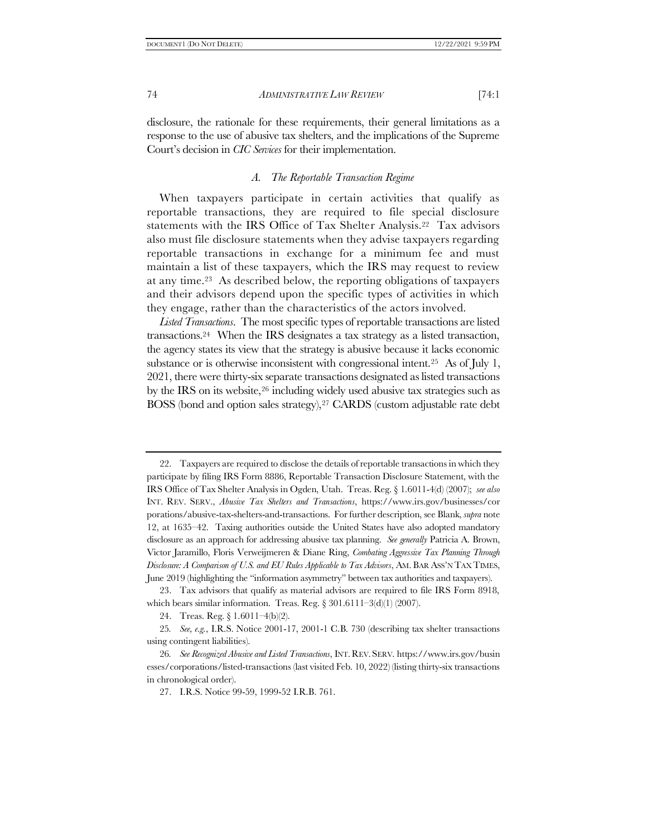<span id="page-5-2"></span>

disclosure, the rationale for these requirements, their general limitations as a response to the use of abusive tax shelters, and the implications of the Supreme Court's decision in *CIC Services* for their implementation.

# *A. The Reportable Transaction Regime*

<span id="page-5-0"></span>When taxpayers participate in certain activities that qualify as reportable transactions, they are required to file special disclosure statements with the IRS Office of Tax Shelter Analysis.22 Tax advisors also must file disclosure statements when they advise taxpayers regarding reportable transactions in exchange for a minimum fee and must maintain a list of these taxpayers, which the IRS may request to review at any time.23 As described below, the reporting obligations of taxpayers and their advisors depend upon the specific types of activities in which they engage, rather than the characteristics of the actors involved.

<span id="page-5-1"></span>*Listed Transactions*. The most specific types of reportable transactions are listed transactions.24 When the IRS designates a tax strategy as a listed transaction, the agency states its view that the strategy is abusive because it lacks economic substance or is otherwise inconsistent with congressional intent.25 As of July 1, 2021, there were thirty-six separate transactions designated as listed transactions by the IRS on its website,<sup>26</sup> including widely used abusive tax strategies such as BOSS (bond and option sales strategy),<sup>27</sup> CARDS (custom adjustable rate debt

24. Treas. Reg. § 1.6011–4(b)(2).

<sup>22.</sup> Taxpayers are required to disclose the details of reportable transactions in which they participate by filing IRS Form 8886, Reportable Transaction Disclosure Statement, with the IRS Office of Tax Shelter Analysis in Ogden, Utah. Treas. Reg. § 1.6011-4(d) (2007); *see also* INT. REV. SERV., *Abusive Tax Shelters and Transactions*, https://www.irs.gov/businesses/cor porations/abusive-tax-shelters-and-transactions. For further description, see Blank, *supra* note [12,](#page-3-0) at 1635–42. Taxing authorities outside the United States have also adopted mandatory disclosure as an approach for addressing abusive tax planning. *See generally* Patricia A. Brown, Victor Jaramillo, Floris Verweijmeren & Diane Ring, *Combating Aggressive Tax Planning Through Disclosure: A Comparison of U.S. and EU Rules Applicable to Tax Advisors*, AM. BAR ASS'N TAX TIMES, June 2019 (highlighting the "information asymmetry" between tax authorities and taxpayers).

<sup>23.</sup> Tax advisors that qualify as material advisors are required to file IRS Form 8918, which bears similar information. Treas. Reg. § 301.6111–3(d)(1) (2007).

<sup>25</sup>*. See, e.g.*, I.R.S. Notice 2001-17, 2001-1 C.B. 730 (describing tax shelter transactions using contingent liabilities).

<sup>26</sup>*. See Recognized Abusive and Listed Transactions*, INT.REV.SERV. https://www.irs.gov/busin esses/corporations/listed-transactions (last visited Feb. 10, 2022) (listing thirty-six transactions in chronological order).

<sup>27.</sup> I.R.S. Notice 99-59, 1999-52 I.R.B. 761.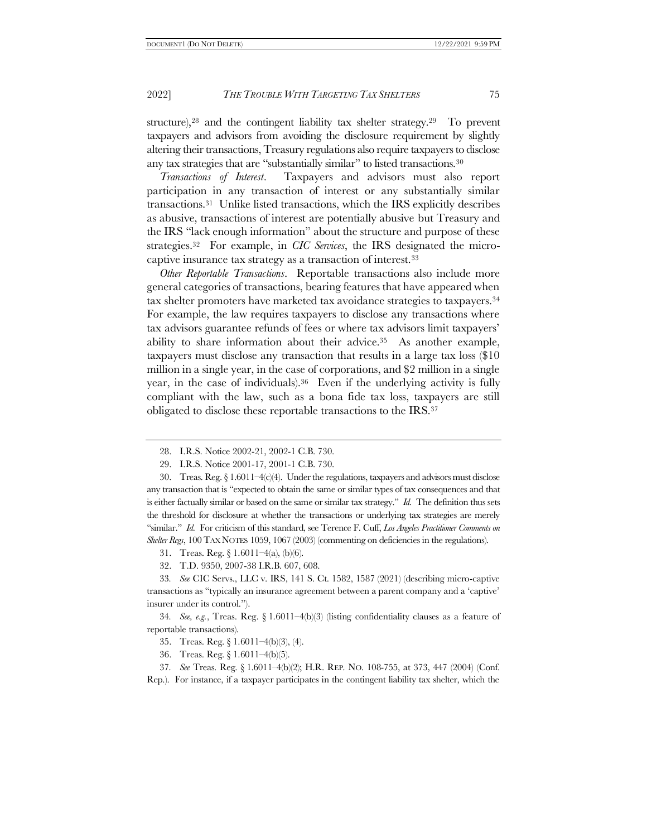structure),<sup>28</sup> and the contingent liability tax shelter strategy.<sup>29</sup> To prevent taxpayers and advisors from avoiding the disclosure requirement by slightly altering their transactions, Treasury regulations also require taxpayers to disclose any tax strategies that are "substantially similar" to listed transactions.<sup>30</sup>

*Transactions of Interest*. Taxpayers and advisors must also report participation in any transaction of interest or any substantially similar transactions.31 Unlike listed transactions, which the IRS explicitly describes as abusive, transactions of interest are potentially abusive but Treasury and the IRS "lack enough information" about the structure and purpose of these strategies.32 For example, in *CIC Services*, the IRS designated the microcaptive insurance tax strategy as a transaction of interest.<sup>33</sup>

*Other Reportable Transactions*. Reportable transactions also include more general categories of transactions, bearing features that have appeared when tax shelter promoters have marketed tax avoidance strategies to taxpayers.<sup>34</sup> For example, the law requires taxpayers to disclose any transactions where tax advisors guarantee refunds of fees or where tax advisors limit taxpayers' ability to share information about their advice.35 As another example, taxpayers must disclose any transaction that results in a large tax loss (\$10 million in a single year, in the case of corporations, and \$2 million in a single year, in the case of individuals).36 Even if the underlying activity is fully compliant with the law, such as a bona fide tax loss, taxpayers are still obligated to disclose these reportable transactions to the IRS.<sup>37</sup>

30. Treas. Reg. § 1.6011–4(c)(4). Under the regulations, taxpayers and advisors must disclose any transaction that is "expected to obtain the same or similar types of tax consequences and that is either factually similar or based on the same or similar tax strategy." *Id.* The definition thus sets the threshold for disclosure at whether the transactions or underlying tax strategies are merely "similar." *Id.* For criticism of this standard, see Terence F. Cuff, *Los Angeles Practitioner Comments on Shelter Regs*, 100 TAX NOTES 1059, 1067 (2003) (commenting on deficiencies in the regulations).

36. Treas. Reg. § 1.6011–4(b)(5).

37*. See* Treas. Reg. § 1.6011–4(b)(2); H.R. REP. NO. 108-755, at 373, 447 (2004) (Conf. Rep.). For instance, if a taxpayer participates in the contingent liability tax shelter, which the

<sup>28.</sup> I.R.S. Notice 2002-21, 2002-1 C.B. 730.

<sup>29.</sup> I.R.S. Notice 2001-17, 2001-1 C.B. 730.

<sup>31.</sup> Treas. Reg. § 1.6011–4(a), (b)(6).

<sup>32.</sup> T.D. 9350, 2007-38 I.R.B. 607, 608.

<sup>33</sup>*. See* CIC Servs., LLC v. IRS, 141 S. Ct. 1582, 1587 (2021) (describing micro-captive transactions as "typically an insurance agreement between a parent company and a 'captive' insurer under its control.").

<sup>34</sup>*. See, e.g.*, Treas. Reg. § 1.6011–4(b)(3) (listing confidentiality clauses as a feature of reportable transactions).

<sup>35.</sup> Treas. Reg. § 1.6011–4(b)(3), (4).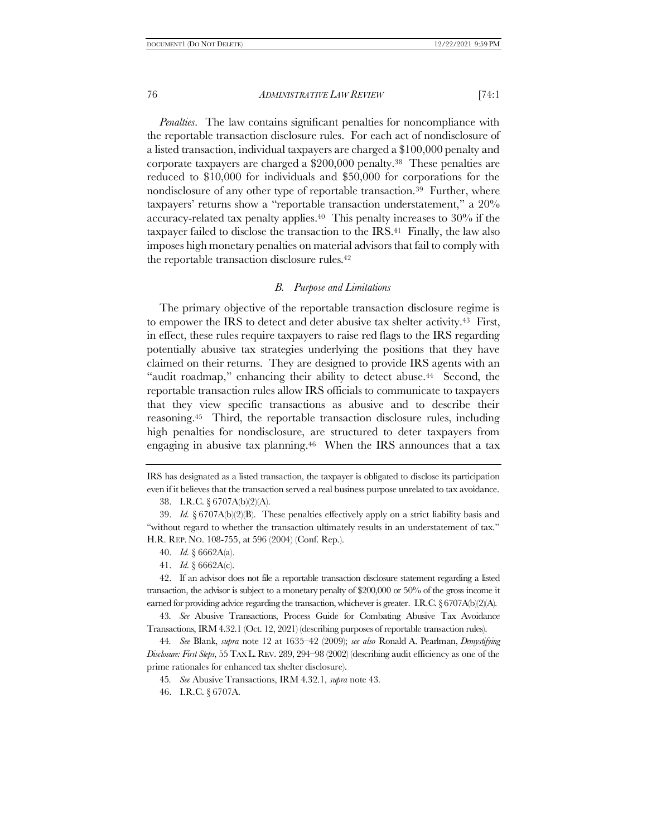*Penalties*. The law contains significant penalties for noncompliance with the reportable transaction disclosure rules. For each act of nondisclosure of a listed transaction, individual taxpayers are charged a \$100,000 penalty and corporate taxpayers are charged a \$200,000 penalty.38 These penalties are reduced to \$10,000 for individuals and \$50,000 for corporations for the nondisclosure of any other type of reportable transaction.<sup>39</sup> Further, where taxpayers' returns show a "reportable transaction understatement," a 20% accuracy-related tax penalty applies.40 This penalty increases to 30% if the taxpayer failed to disclose the transaction to the IRS. $41$  Finally, the law also imposes high monetary penalties on material advisors that fail to comply with the reportable transaction disclosure rules.<sup>42</sup>

#### <span id="page-7-2"></span><span id="page-7-1"></span>*B. Purpose and Limitations*

<span id="page-7-0"></span>The primary objective of the reportable transaction disclosure regime is to empower the IRS to detect and deter abusive tax shelter activity.43 First, in effect, these rules require taxpayers to raise red flags to the IRS regarding potentially abusive tax strategies underlying the positions that they have claimed on their returns. They are designed to provide IRS agents with an "audit roadmap," enhancing their ability to detect abuse.<sup>44</sup> Second, the reportable transaction rules allow IRS officials to communicate to taxpayers that they view specific transactions as abusive and to describe their reasoning.45 Third, the reportable transaction disclosure rules, including high penalties for nondisclosure, are structured to deter taxpayers from engaging in abusive tax planning.46 When the IRS announces that a tax

45*. See* Abusive Transactions, IRM 4.32.1, *supra* note [43.](#page-7-1)

IRS has designated as a listed transaction, the taxpayer is obligated to disclose its participation even if it believes that the transaction served a real business purpose unrelated to tax avoidance.

<sup>38.</sup> I.R.C. § 6707A(b)(2)(A).

<sup>39.</sup> Id.  $\S 6707A(b)(2)(B)$ . These penalties effectively apply on a strict liability basis and "without regard to whether the transaction ultimately results in an understatement of tax." H.R. REP. NO. 108-755, at 596 (2004) (Conf. Rep.).

<sup>40.</sup> *Id.* § 6662A(a).

<sup>41.</sup> *Id.* § 6662A(c).

<sup>42.</sup> If an advisor does not file a reportable transaction disclosure statement regarding a listed transaction, the advisor is subject to a monetary penalty of \$200,000 or 50% of the gross income it earned for providing advice regarding the transaction, whichever is greater. I.R.C. § 6707A(b)(2)(A).

<sup>43</sup>*. See* Abusive Transactions, Process Guide for Combating Abusive Tax Avoidance Transactions, IRM 4.32.1 (Oct. 12, 2021) (describing purposes of reportable transaction rules).

<sup>44</sup>*. See* Blank, *supra* note [12](#page-3-0) at 1635–42 (2009); *see also* Ronald A. Pearlman, *Demystifying Disclosure: First Steps*, 55 TAX L.REV. 289, 294–98 (2002) (describing audit efficiency as one of the prime rationales for enhanced tax shelter disclosure).

<sup>46.</sup> I.R.C. § 6707A.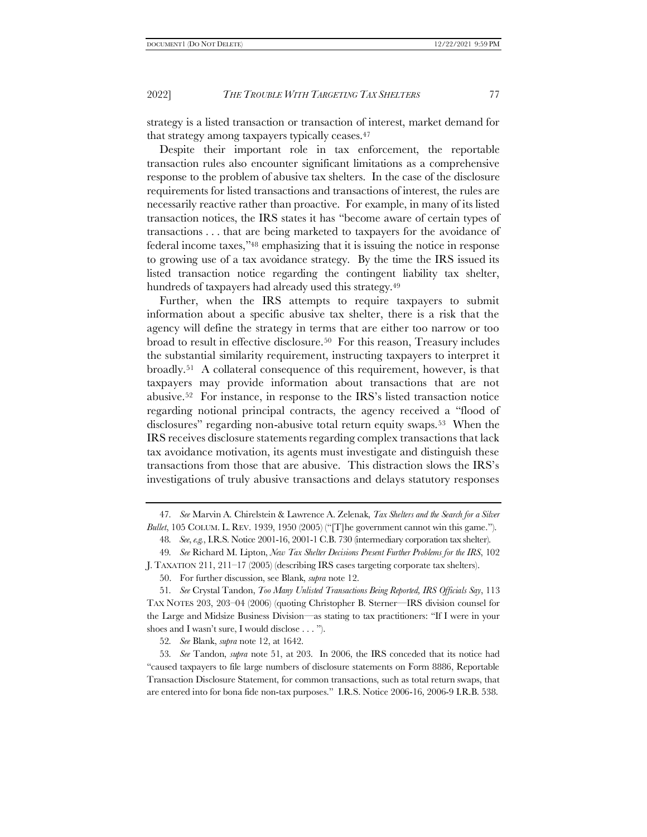<span id="page-8-1"></span>strategy is a listed transaction or transaction of interest, market demand for that strategy among taxpayers typically ceases.<sup>47</sup>

Despite their important role in tax enforcement, the reportable transaction rules also encounter significant limitations as a comprehensive response to the problem of abusive tax shelters. In the case of the disclosure requirements for listed transactions and transactions of interest, the rules are necessarily reactive rather than proactive. For example, in many of its listed transaction notices, the IRS states it has "become aware of certain types of transactions . . . that are being marketed to taxpayers for the avoidance of federal income taxes,"<sup>48</sup> emphasizing that it is issuing the notice in response to growing use of a tax avoidance strategy. By the time the IRS issued its listed transaction notice regarding the contingent liability tax shelter, hundreds of taxpayers had already used this strategy.<sup>49</sup>

<span id="page-8-0"></span>Further, when the IRS attempts to require taxpayers to submit information about a specific abusive tax shelter, there is a risk that the agency will define the strategy in terms that are either too narrow or too broad to result in effective disclosure.50 For this reason, Treasury includes the substantial similarity requirement, instructing taxpayers to interpret it broadly.51 A collateral consequence of this requirement, however, is that taxpayers may provide information about transactions that are not abusive.<sup>52</sup> For instance, in response to the IRS's listed transaction notice regarding notional principal contracts, the agency received a "flood of disclosures" regarding non-abusive total return equity swaps.<sup>53</sup> When the IRS receives disclosure statements regarding complex transactions that lack tax avoidance motivation, its agents must investigate and distinguish these transactions from those that are abusive. This distraction slows the IRS's investigations of truly abusive transactions and delays statutory responses

50. For further discussion, see Blank, *supra* not[e 12.](#page-3-0)

51*. See* Crystal Tandon, *Too Many Unlisted Transactions Being Reported, IRS Officials Say*, 113 TAX NOTES 203, 203–04 (2006) (quoting Christopher B. Sterner—IRS division counsel for the Large and Midsize Business Division—as stating to tax practitioners: "If I were in your shoes and I wasn't sure, I would disclose . . . ").

52*. See* Blank, *supra* not[e 12,](#page-3-0) at 1642.

53*. See* Tandon, *supra* note [51,](#page-8-0) at 203. In 2006, the IRS conceded that its notice had "caused taxpayers to file large numbers of disclosure statements on Form 8886, Reportable Transaction Disclosure Statement, for common transactions, such as total return swaps, that are entered into for bona fide non-tax purposes." I.R.S. Notice 2006-16, 2006-9 I.R.B. 538.

<sup>47</sup>*. See* Marvin A. Chirelstein & Lawrence A. Zelenak, *Tax Shelters and the Search for a Silver Bullet*, 105 COLUM. L. REV. 1939, 1950 (2005) ("[T]he government cannot win this game.").

<sup>48</sup>*. See*, *e.g.*, I.R.S. Notice 2001-16, 2001-1 C.B. 730 (intermediary corporation tax shelter).

<sup>49</sup>*. See* Richard M. Lipton, *New Tax Shelter Decisions Present Further Problems for the IRS*, 102 J. TAXATION 211, 211–17 (2005) (describing IRS cases targeting corporate tax shelters).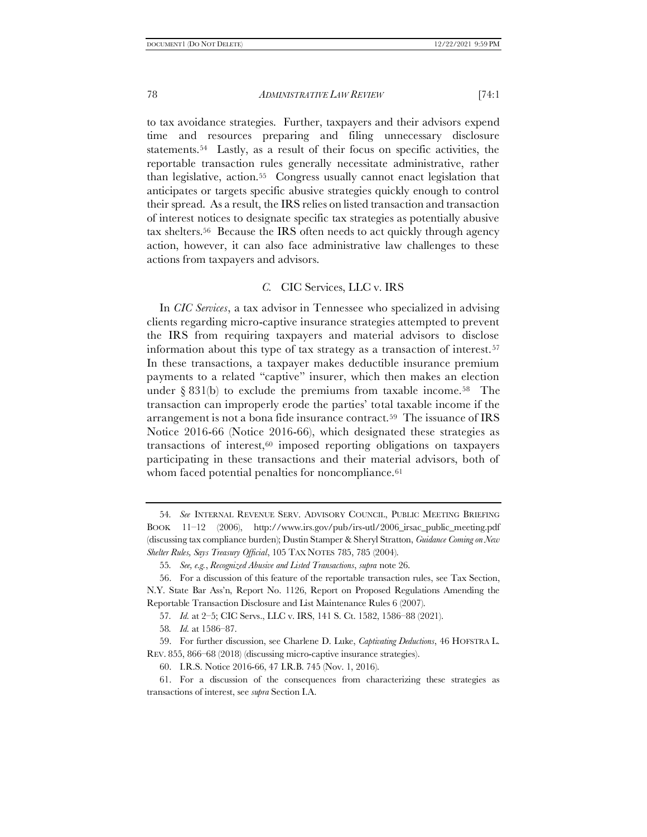to tax avoidance strategies. Further, taxpayers and their advisors expend time and resources preparing and filing unnecessary disclosure statements.<sup>54</sup> Lastly, as a result of their focus on specific activities, the reportable transaction rules generally necessitate administrative, rather than legislative, action.55 Congress usually cannot enact legislation that anticipates or targets specific abusive strategies quickly enough to control their spread. As a result, the IRS relies on listed transaction and transaction of interest notices to designate specific tax strategies as potentially abusive tax shelters.56 Because the IRS often needs to act quickly through agency action, however, it can also face administrative law challenges to these actions from taxpayers and advisors.

# <span id="page-9-0"></span>*C.* CIC Services, LLC v. IRS

<span id="page-9-1"></span>In *CIC Services*, a tax advisor in Tennessee who specialized in advising clients regarding micro-captive insurance strategies attempted to prevent the IRS from requiring taxpayers and material advisors to disclose information about this type of tax strategy as a transaction of interest.<sup>57</sup> In these transactions, a taxpayer makes deductible insurance premium payments to a related "captive" insurer, which then makes an election under  $\S 831(b)$  to exclude the premiums from taxable income.<sup>58</sup> The transaction can improperly erode the parties' total taxable income if the arrangement is not a bona fide insurance contract.59 The issuance of IRS Notice 2016-66 (Notice 2016-66), which designated these strategies as transactions of interest,<sup>60</sup> imposed reporting obligations on taxpayers participating in these transactions and their material advisors, both of whom faced potential penalties for noncompliance.<sup>61</sup>

<sup>54</sup>*. See* INTERNAL REVENUE SERV. ADVISORY COUNCIL, PUBLIC MEETING BRIEFING BOOK 11-12 (2006), http://www.irs.gov/pub/irs-utl/2006\_irsac\_public\_meeting.pdf (discussing tax compliance burden); Dustin Stamper & Sheryl Stratton, *Guidance Coming on New Shelter Rules, Says Treasury Official*, 105 TAX NOTES 785, 785 (2004).

<sup>55</sup>*. See, e.g.*, *Recognized Abusive and Listed Transactions*, *supra* note [26.](#page-5-1)

<sup>56.</sup> For a discussion of this feature of the reportable transaction rules, see Tax Section, N.Y. State Bar Ass'n, Report No. 1126, Report on Proposed Regulations Amending the Reportable Transaction Disclosure and List Maintenance Rules 6 (2007).

<sup>57</sup>*. Id.* at 2–5; CIC Servs., LLC v. IRS, 141 S. Ct. 1582, 1586–88 (2021).

<sup>58</sup>*. Id.* at 1586–87.

<sup>59.</sup> For further discussion, see Charlene D. Luke, *Captivating Deductions*, 46 HOFSTRA L. REV. 855, 866–68 (2018) (discussing micro-captive insurance strategies).

<sup>60.</sup> I.R.S. Notice 2016-66, 47 I.R.B. 745 (Nov. 1, 2016).

<sup>61.</sup> For a discussion of the consequences from characterizing these strategies as transactions of interest, see *supra* Section [I.A.](#page-5-0)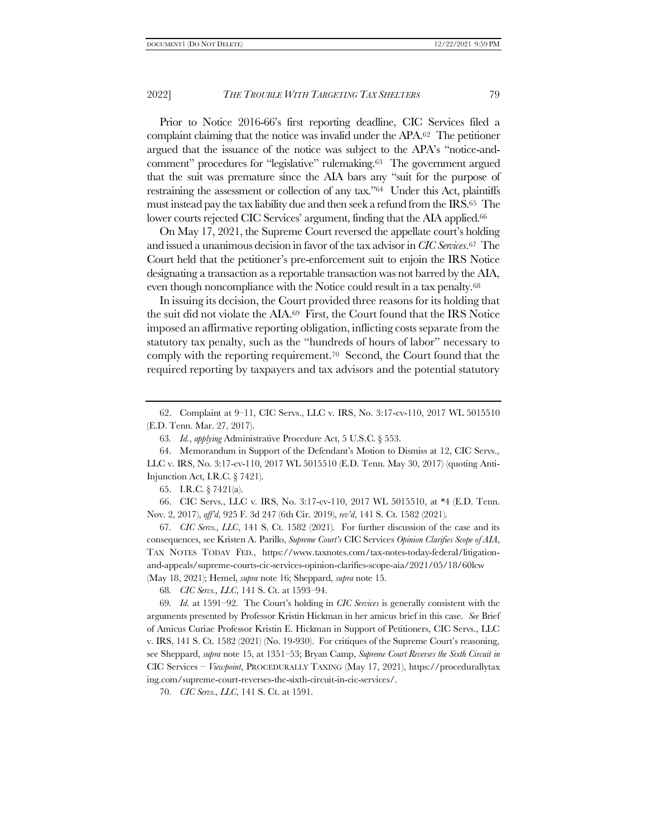Prior to Notice 2016-66's first reporting deadline, CIC Services filed a complaint claiming that the notice was invalid under the APA.62 The petitioner argued that the issuance of the notice was subject to the APA's "notice-andcomment" procedures for "legislative" rulemaking.63 The government argued that the suit was premature since the AIA bars any "suit for the purpose of restraining the assessment or collection of any tax."<sup>64</sup> Under this Act, plaintiffs must instead pay the tax liability due and then seek a refund from the IRS.65 The lower courts rejected CIC Services' argument, finding that the AIA applied.<sup>66</sup>

On May 17, 2021, the Supreme Court reversed the appellate court's holding and issued a unanimous decision in favor of the tax advisor in *CIC Services*. <sup>67</sup> The Court held that the petitioner's pre-enforcement suit to enjoin the IRS Notice designating a transaction as a reportable transaction was not barred by the AIA, even though noncompliance with the Notice could result in a tax penalty.<sup>68</sup>

<span id="page-10-0"></span>In issuing its decision, the Court provided three reasons for its holding that the suit did not violate the AIA. <sup>69</sup> First, the Court found that the IRS Notice imposed an affirmative reporting obligation, inflicting costs separate from the statutory tax penalty, such as the "hundreds of hours of labor" necessary to comply with the reporting requirement.70 Second, the Court found that the required reporting by taxpayers and tax advisors and the potential statutory

65. I.R.C. § 7421(a).

66. CIC Servs., LLC v. IRS, No. 3:17-cv-110, 2017 WL 5015510, at \*4 (E.D. Tenn. Nov. 2, 2017), *aff'd*, 925 F. 3d 247 (6th Cir. 2019), *rev'd*, 141 S. Ct. 1582 (2021).

67*. CIC Servs., LLC*, 141 S. Ct. 1582 (2021). For further discussion of the case and its consequences, see Kristen A. Parillo, *Supreme Court's* CIC Services *Opinion Clarifies Scope of AIA*, TAX NOTES TODAY FED., https://www.taxnotes.com/tax-notes-today-federal/litigationand-appeals/supreme-courts-cic-services-opinion-clarifies-scope-aia/2021/05/18/60lcw (May 18, 2021); Hemel, *supra* not[e 16;](#page-3-1) Sheppard, *supra* not[e 15.](#page-3-2)

68*. CIC Servs., LLC*, 141 S. Ct. at 1593–94.

69*. Id.* at 1591–92. The Court's holding in *CIC Services* is generally consistent with the arguments presented by Professor Kristin Hickman in her amicus brief in this case. *See* Brief of Amicus Curiae Professor Kristin E. Hickman in Support of Petitioners, CIC Servs., LLC v. IRS, 141 S. Ct. 1582 (2021) (No. 19-930). For critiques of the Supreme Court's reasoning, see Sheppard, *supra* not[e 15,](#page-3-2) at 1351–53; Bryan Camp, *Supreme Court Reverses the Sixth Circuit in*  CIC Services *– Viewpoint*, PROCEDURALLY TAXING (May 17, 2021), https://procedurallytax ing.com/supreme-court-reverses-the-sixth-circuit-in-cic-services/.

70*. CIC Servs., LLC*, 141 S. Ct. at 1591.

<sup>62.</sup> Complaint at 9–11, CIC Servs., LLC v. IRS, No. 3:17-cv-110, 2017 WL 5015510 (E.D. Tenn. Mar. 27, 2017).

<sup>63</sup>*. Id.*, *applying* Administrative Procedure Act, 5 U.S.C. § 553.

<sup>64.</sup> Memorandum in Support of the Defendant's Motion to Dismiss at 12, CIC Servs., LLC v. IRS, No. 3:17-cv-110, 2017 WL 5015510 (E.D. Tenn. May 30, 2017) (quoting Anti-Injunction Act, I.R.C. § 7421).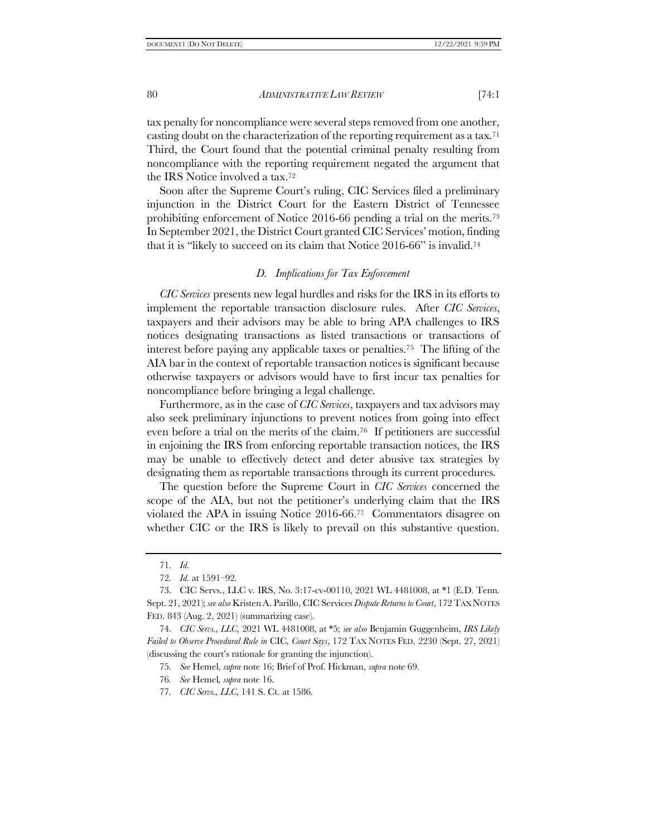tax penalty for noncompliance were several steps removed from one another, casting doubt on the characterization of the reporting requirement as a tax.<sup>71</sup> Third, the Court found that the potential criminal penalty resulting from noncompliance with the reporting requirement negated the argument that the IRS Notice involved a tax.<sup>72</sup>

Soon after the Supreme Court's ruling, CIC Services filed a preliminary injunction in the District Court for the Eastern District of Tennessee prohibiting enforcement of Notice 2016-66 pending a trial on the merits.<sup>73</sup> In September 2021, the District Court granted CIC Services' motion, finding that it is "likely to succeed on its claim that Notice 2016-66" is invalid.<sup>74</sup>

#### <span id="page-11-1"></span><span id="page-11-0"></span>*D. Implications for Tax Enforcement*

*CIC Services* presents new legal hurdles and risks for the IRS in its efforts to implement the reportable transaction disclosure rules. After *CIC Services*, taxpayers and their advisors may be able to bring APA challenges to IRS notices designating transactions as listed transactions or transactions of interest before paying any applicable taxes or penalties.75 The lifting of the AIA bar in the context of reportable transaction notices is significant because otherwise taxpayers or advisors would have to first incur tax penalties for noncompliance before bringing a legal challenge.

Furthermore, as in the case of *CIC Services*, taxpayers and tax advisors may also seek preliminary injunctions to prevent notices from going into effect even before a trial on the merits of the claim.76 If petitioners are successful in enjoining the IRS from enforcing reportable transaction notices, the IRS may be unable to effectively detect and deter abusive tax strategies by designating them as reportable transactions through its current procedures.

The question before the Supreme Court in *CIC Services* concerned the scope of the AIA, but not the petitioner's underlying claim that the IRS violated the APA in issuing Notice 2016-66.77 Commentators disagree on whether CIC or the IRS is likely to prevail on this substantive question.

<sup>71</sup>*. Id.*

<sup>72</sup>*. Id.* at 1591–92.

<sup>73.</sup> CIC Servs., LLC v. IRS, No. 3:17-cv-00110, 2021 WL 4481008, at \*1 (E.D. Tenn. Sept. 21, 2021); *see also* Kristen A. Parillo, CIC Services *Dispute Returns to Court*, 172 TAX NOTES FED. 843 (Aug. 2, 2021) (summarizing case).

<sup>74</sup>*. CIC Servs., LLC*, 2021 WL 4481008, at \*5; *see also* Benjamin Guggenheim, *IRS Likely Failed to Observe Procedural Rule in* CIC*, Court Says*, 172 TAX NOTES FED. 2230 (Sept. 27, 2021) (discussing the court's rationale for granting the injunction).

<sup>75</sup>*. See* Hemel, *supra* not[e 16;](#page-3-1) Brief of Prof. Hickman, *supra* not[e 69.](#page-10-0)

<sup>76</sup>*. See* Hemel*, supra* not[e 16.](#page-3-1)

<sup>77</sup>*. CIC Servs., LLC*, 141 S. Ct. at 1586.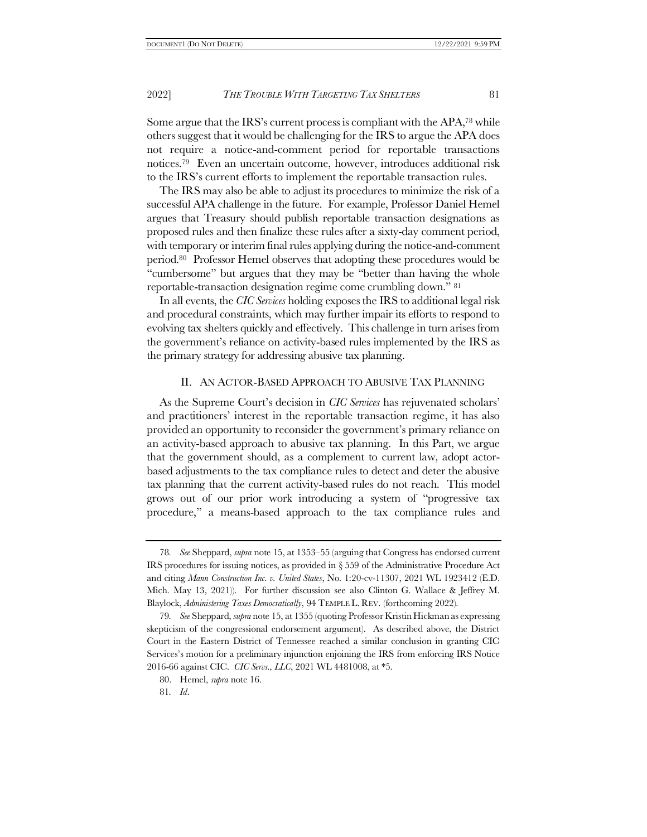<span id="page-12-0"></span>Some argue that the IRS's current process is compliant with the APA,<sup>78</sup> while others suggest that it would be challenging for the IRS to argue the APA does not require a notice-and-comment period for reportable transactions notices.79 Even an uncertain outcome, however, introduces additional risk to the IRS's current efforts to implement the reportable transaction rules.

The IRS may also be able to adjust its procedures to minimize the risk of a successful APA challenge in the future. For example, Professor Daniel Hemel argues that Treasury should publish reportable transaction designations as proposed rules and then finalize these rules after a sixty-day comment period, with temporary or interim final rules applying during the notice-and-comment period.<sup>80</sup> Professor Hemel observes that adopting these procedures would be "cumbersome" but argues that they may be "better than having the whole reportable-transaction designation regime come crumbling down." <sup>81</sup>

<span id="page-12-1"></span>In all events, the *CIC Services* holding exposes the IRS to additional legal risk and procedural constraints, which may further impair its efforts to respond to evolving tax shelters quickly and effectively. This challenge in turn arises from the government's reliance on activity-based rules implemented by the IRS as the primary strategy for addressing abusive tax planning.

## <span id="page-12-2"></span>II. AN ACTOR-BASED APPROACH TO ABUSIVE TAX PLANNING

<span id="page-12-3"></span>As the Supreme Court's decision in *CIC Services* has rejuvenated scholars' and practitioners' interest in the reportable transaction regime, it has also provided an opportunity to reconsider the government's primary reliance on an activity-based approach to abusive tax planning. In this Part, we argue that the government should, as a complement to current law, adopt actorbased adjustments to the tax compliance rules to detect and deter the abusive tax planning that the current activity-based rules do not reach. This model grows out of our prior work introducing a system of "progressive tax procedure," a means-based approach to the tax compliance rules and

<sup>78</sup>*. See* Sheppard, *supra* not[e 15,](#page-3-2) at 1353–55 (arguing that Congress has endorsed current IRS procedures for issuing notices, as provided in § 559 of the Administrative Procedure Act and citing *Mann Construction Inc. v. United States*, No. 1:20-cv-11307, 2021 WL 1923412 (E.D. Mich. May 13, 2021)). For further discussion see also Clinton G. Wallace & Jeffrey M. Blaylock, *Administering Taxes Democratically*, 94 TEMPLE L. REV. (forthcoming 2022).

<sup>79</sup>*. See* Sheppard, *supra* not[e 15,](#page-3-2) at 1355 (quoting Professor Kristin Hickman as expressing skepticism of the congressional endorsement argument). As described above, the District Court in the Eastern District of Tennessee reached a similar conclusion in granting CIC Services's motion for a preliminary injunction enjoining the IRS from enforcing IRS Notice 2016-66 against CIC. *CIC Servs., LLC*, 2021 WL 4481008, at \*5.

<sup>80.</sup> Hemel, *supra* not[e 16.](#page-3-1) 

<sup>81</sup>*. Id*.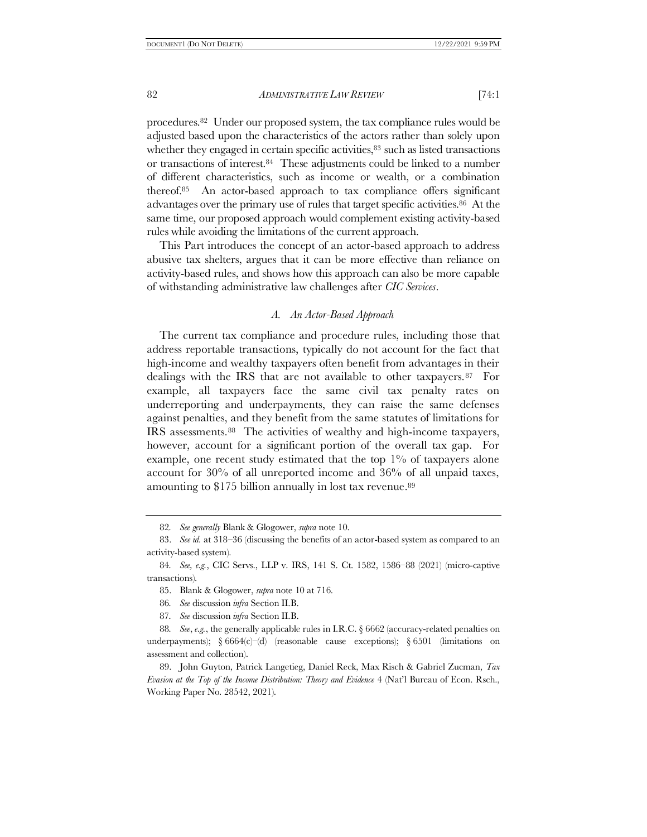<span id="page-13-1"></span>procedures.82 Under our proposed system, the tax compliance rules would be adjusted based upon the characteristics of the actors rather than solely upon whether they engaged in certain specific activities,<sup>83</sup> such as listed transactions or transactions of interest.<sup>84</sup> These adjustments could be linked to a number of different characteristics, such as income or wealth, or a combination thereof.85 An actor-based approach to tax compliance offers significant advantages over the primary use of rules that target specific activities.86 At the same time, our proposed approach would complement existing activity-based rules while avoiding the limitations of the current approach.

<span id="page-13-2"></span>This Part introduces the concept of an actor-based approach to address abusive tax shelters, argues that it can be more effective than reliance on activity-based rules, and shows how this approach can also be more capable of withstanding administrative law challenges after *CIC Services*.

#### <span id="page-13-3"></span>*A. An Actor-Based Approach*

<span id="page-13-0"></span>The current tax compliance and procedure rules, including those that address reportable transactions, typically do not account for the fact that high-income and wealthy taxpayers often benefit from advantages in their dealings with the IRS that are not available to other taxpayers.87 For example, all taxpayers face the same civil tax penalty rates on underreporting and underpayments, they can raise the same defenses against penalties, and they benefit from the same statutes of limitations for IRS assessments.88 The activities of wealthy and high-income taxpayers, however, account for a significant portion of the overall tax gap. For example, one recent study estimated that the top 1% of taxpayers alone account for 30% of all unreported income and 36% of all unpaid taxes, amounting to \$175 billion annually in lost tax revenue.<sup>89</sup>

87*. See* discussion *infra* Section II[.B.](#page-15-0) 

<sup>82</sup>*. See generally* Blank & Glogower, *supra* not[e 10.](#page-2-0)

<sup>83.</sup> *See id.* at 318–36 (discussing the benefits of an actor-based system as compared to an activity-based system).

<sup>84</sup>*. See, e.g.*, CIC Servs., LLP v. IRS, 141 S. Ct. 1582, 1586–88 (2021) (micro-captive transactions).

<sup>85.</sup> Blank & Glogower, *supra* note [10](#page-2-0) at 716.

<sup>86</sup>*. See* discussion *infra* Section II[.B.](#page-15-0)

<sup>88</sup>*. See*, *e.g.*, the generally applicable rules in I.R.C. § 6662 (accuracy-related penalties on underpayments); § 6664(c)–(d) (reasonable cause exceptions); § 6501 (limitations on assessment and collection).

<sup>89.</sup> John Guyton, Patrick Langetieg, Daniel Reck, Max Risch & Gabriel Zucman, *Tax Evasion at the Top of the Income Distribution: Theory and Evidence* 4 (Nat'l Bureau of Econ. Rsch., Working Paper No. 28542, 2021).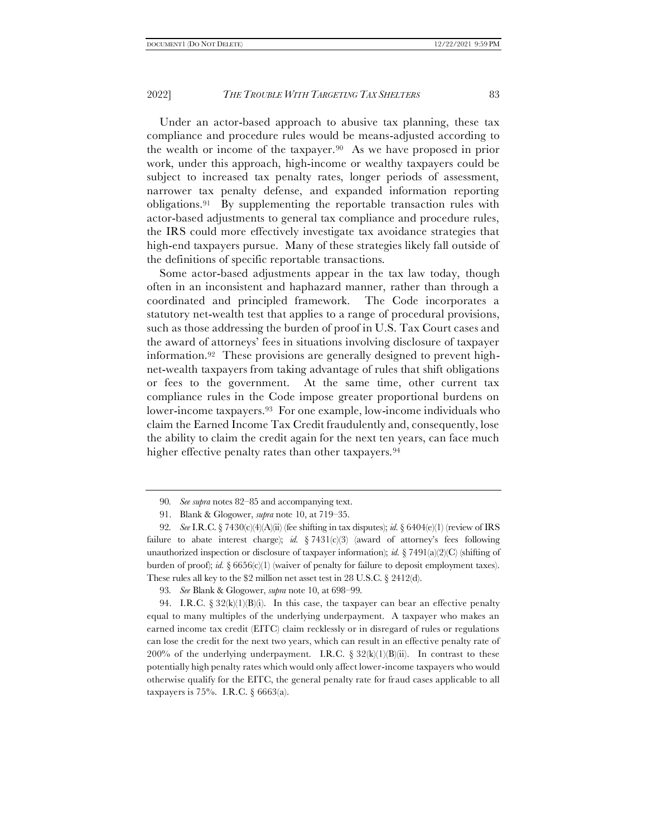Under an actor-based approach to abusive tax planning, these tax compliance and procedure rules would be means-adjusted according to the wealth or income of the taxpayer.90 As we have proposed in prior work, under this approach, high-income or wealthy taxpayers could be subject to increased tax penalty rates, longer periods of assessment, narrower tax penalty defense, and expanded information reporting obligations.91 By supplementing the reportable transaction rules with actor-based adjustments to general tax compliance and procedure rules, the IRS could more effectively investigate tax avoidance strategies that high-end taxpayers pursue. Many of these strategies likely fall outside of the definitions of specific reportable transactions.

<span id="page-14-0"></span>Some actor-based adjustments appear in the tax law today, though often in an inconsistent and haphazard manner, rather than through a coordinated and principled framework. The Code incorporates a statutory net-wealth test that applies to a range of procedural provisions, such as those addressing the burden of proof in U.S. Tax Court cases and the award of attorneys' fees in situations involving disclosure of taxpayer information.92 These provisions are generally designed to prevent highnet-wealth taxpayers from taking advantage of rules that shift obligations or fees to the government. At the same time, other current tax compliance rules in the Code impose greater proportional burdens on lower-income taxpayers.93 For one example, low-income individuals who claim the Earned Income Tax Credit fraudulently and, consequently, lose the ability to claim the credit again for the next ten years, can face much higher effective penalty rates than other taxpayers.<sup>94</sup>

<span id="page-14-1"></span><sup>90</sup>*. See supra* note[s 82](#page-13-1)–[85](#page-13-2) and accompanying text.

<sup>91.</sup> Blank & Glogower, *supra* note [10,](#page-2-0) at 719–35.

<sup>92</sup>*. See* I.R.C. § 7430(c)(4)(A)(ii) (fee shifting in tax disputes); *id.* § 6404(e)(1) (review of IRS failure to abate interest charge); *id.*  $\S$  7431(c)(3) (award of attorney's fees following unauthorized inspection or disclosure of taxpayer information); *id.* § 7491(a)(2)(C) (shifting of burden of proof); *id.*  $\S 6656(c)(1)$  (waiver of penalty for failure to deposit employment taxes). These rules all key to the \$2 million net asset test in 28 U.S.C. § 2412(d).

<sup>93</sup>*. See* Blank & Glogower, *supra* note [10,](#page-2-0) at 698–99.

<sup>94.</sup> I.R.C.  $\S 32(k)(1)(B)(i)$ . In this case, the taxpayer can bear an effective penalty equal to many multiples of the underlying underpayment. A taxpayer who makes an earned income tax credit (EITC) claim recklessly or in disregard of rules or regulations can lose the credit for the next two years, which can result in an effective penalty rate of 200% of the underlying underpayment. I.R.C.  $\S 32(k)(1)(B)(ii)$ . In contrast to these potentially high penalty rates which would only affect lower-income taxpayers who would otherwise qualify for the EITC, the general penalty rate for fraud cases applicable to all taxpayers is 75%. I.R.C. § 6663(a).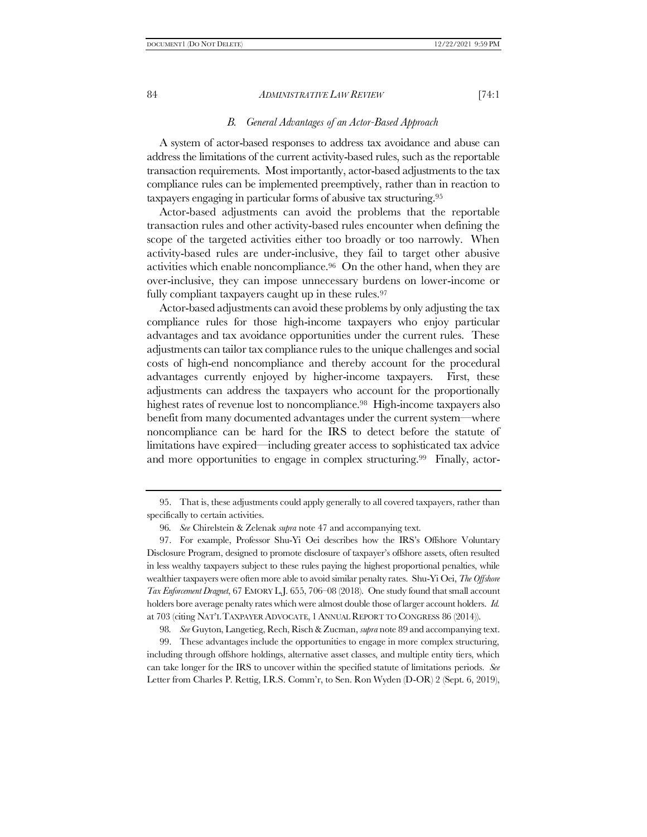#### *B. General Advantages of an Actor-Based Approach*

<span id="page-15-0"></span>A system of actor-based responses to address tax avoidance and abuse can address the limitations of the current activity-based rules, such as the reportable transaction requirements. Most importantly, actor-based adjustments to the tax compliance rules can be implemented preemptively, rather than in reaction to taxpayers engaging in particular forms of abusive tax structuring.<sup>95</sup>

Actor-based adjustments can avoid the problems that the reportable transaction rules and other activity-based rules encounter when defining the scope of the targeted activities either too broadly or too narrowly. When activity-based rules are under-inclusive, they fail to target other abusive activities which enable noncompliance.96 On the other hand, when they are over-inclusive, they can impose unnecessary burdens on lower-income or fully compliant taxpayers caught up in these rules.<sup>97</sup>

Actor-based adjustments can avoid these problems by only adjusting the tax compliance rules for those high-income taxpayers who enjoy particular advantages and tax avoidance opportunities under the current rules. These adjustments can tailor tax compliance rules to the unique challenges and social costs of high-end noncompliance and thereby account for the procedural advantages currently enjoyed by higher-income taxpayers. First, these adjustments can address the taxpayers who account for the proportionally highest rates of revenue lost to noncompliance.<sup>98</sup> High-income taxpayers also benefit from many documented advantages under the current system—where noncompliance can be hard for the IRS to detect before the statute of limitations have expired—including greater access to sophisticated tax advice and more opportunities to engage in complex structuring.<sup>99</sup> Finally, actor-

98*. See* Guyton, Langetieg, Rech, Risch & Zucman, *supra* not[e 89](#page-13-3) and accompanying text.

99. These advantages include the opportunities to engage in more complex structuring, including through offshore holdings, alternative asset classes, and multiple entity tiers, which can take longer for the IRS to uncover within the specified statute of limitations periods. *See* Letter from Charles P. Rettig, I.R.S. Comm'r, to Sen. Ron Wyden (D-OR) 2 (Sept. 6, 2019),

<sup>95.</sup> That is, these adjustments could apply generally to all covered taxpayers, rather than specifically to certain activities.

<sup>96</sup>*. See* Chirelstein & Zelenak *supra* not[e 47](#page-8-1) and accompanying text.

<sup>97.</sup> For example, Professor Shu-Yi Oei describes how the IRS's Offshore Voluntary Disclosure Program, designed to promote disclosure of taxpayer's offshore assets, often resulted in less wealthy taxpayers subject to these rules paying the highest proportional penalties, while wealthier taxpayers were often more able to avoid similar penalty rates. Shu-Yi Oei, *The Offshore Tax Enforcement Dragnet*, 67 EMORY L.J. 655, 706–08 (2018). One study found that small account holders bore average penalty rates which were almost double those of larger account holders. *Id.* at 703 (citing NAT'L TAXPAYER ADVOCATE, 1ANNUAL REPORT TO CONGRESS 86 (2014)).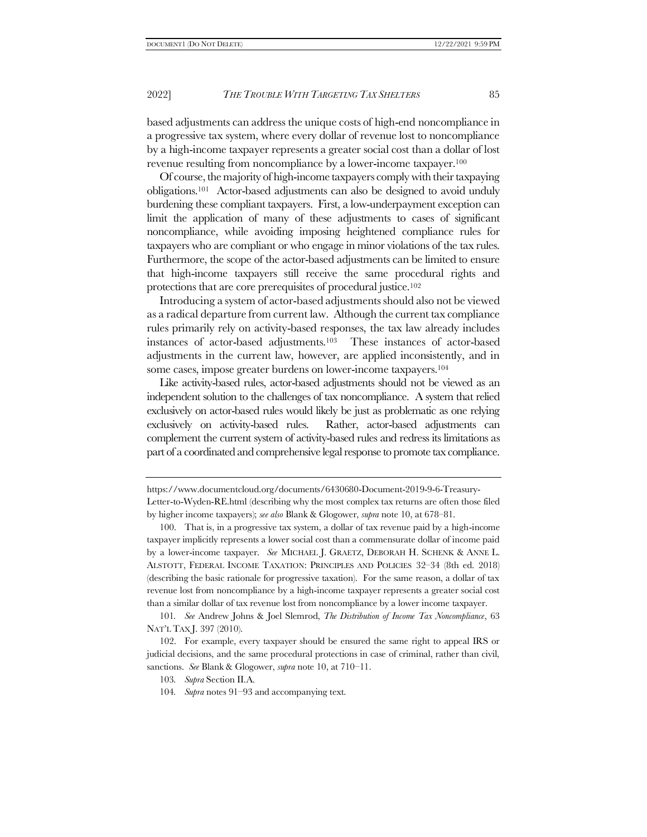based adjustments can address the unique costs of high-end noncompliance in a progressive tax system, where every dollar of revenue lost to noncompliance by a high-income taxpayer represents a greater social cost than a dollar of lost revenue resulting from noncompliance by a lower-income taxpayer.<sup>100</sup>

Of course, the majority of high-income taxpayers comply with their taxpaying obligations.101 Actor-based adjustments can also be designed to avoid unduly burdening these compliant taxpayers. First, a low-underpayment exception can limit the application of many of these adjustments to cases of significant noncompliance, while avoiding imposing heightened compliance rules for taxpayers who are compliant or who engage in minor violations of the tax rules. Furthermore, the scope of the actor-based adjustments can be limited to ensure that high-income taxpayers still receive the same procedural rights and protections that are core prerequisites of procedural justice.<sup>102</sup>

Introducing a system of actor-based adjustments should also not be viewed as a radical departure from current law. Although the current tax compliance rules primarily rely on activity-based responses, the tax law already includes instances of actor-based adjustments.103 These instances of actor-based adjustments in the current law, however, are applied inconsistently, and in some cases, impose greater burdens on lower-income taxpayers.<sup>104</sup>

Like activity-based rules, actor-based adjustments should not be viewed as an independent solution to the challenges of tax noncompliance. A system that relied exclusively on actor-based rules would likely be just as problematic as one relying exclusively on activity-based rules. Rather, actor-based adjustments can complement the current system of activity-based rules and redress its limitations as part of a coordinated and comprehensive legal response to promote tax compliance.

104*. Supra* notes [91](#page-14-0)–[93](#page-14-1) and accompanying text.

https://www.documentcloud.org/documents/6430680-Document-2019-9-6-Treasury-Letter-to-Wyden-RE.html (describing why the most complex tax returns are often those filed by higher income taxpayers); *see also* Blank & Glogower, *supra* not[e 10,](#page-2-0) at 678–81.

<sup>100.</sup> That is, in a progressive tax system, a dollar of tax revenue paid by a high-income taxpayer implicitly represents a lower social cost than a commensurate dollar of income paid by a lower-income taxpayer. *See* MICHAEL J. GRAETZ, DEBORAH H. SCHENK & ANNE L. ALSTOTT, FEDERAL INCOME TAXATION: PRINCIPLES AND POLICIES 32–34 (8th ed. 2018) (describing the basic rationale for progressive taxation). For the same reason, a dollar of tax revenue lost from noncompliance by a high-income taxpayer represents a greater social cost than a similar dollar of tax revenue lost from noncompliance by a lower income taxpayer.

<sup>101</sup>*. See* Andrew Johns & Joel Slemrod, *The Distribution of Income Tax Noncompliance*, 63 NAT'L TAX J. 397 (2010).

<sup>102.</sup> For example, every taxpayer should be ensured the same right to appeal IRS or judicial decisions, and the same procedural protections in case of criminal, rather than civil, sanctions. *See* Blank & Glogower, *supra* not[e 10,](#page-2-0) at 710–11.

<sup>103</sup>*. Supra* Section II[.A.](#page-13-0)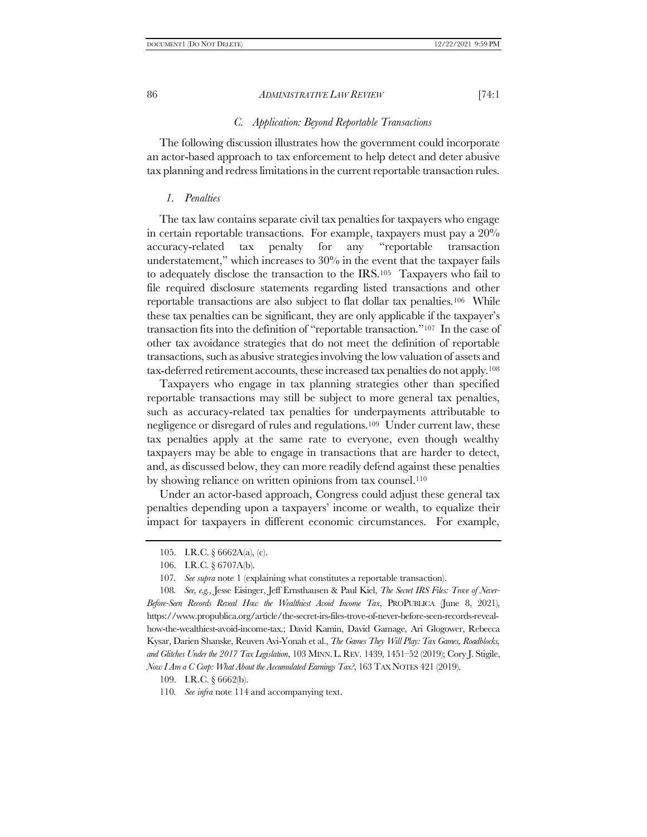#### *C. Application: Beyond Reportable Transactions*

<span id="page-17-1"></span>The following discussion illustrates how the government could incorporate an actor-based approach to tax enforcement to help detect and deter abusive tax planning and redress limitations in the current reportable transaction rules.

#### *1. Penalties*

The tax law contains separate civil tax penalties for taxpayers who engage in certain reportable transactions. For example, taxpayers must pay a  $20\%$ accuracy-related tax penalty for any "reportable transaction understatement," which increases to 30% in the event that the taxpayer fails to adequately disclose the transaction to the IRS.105 Taxpayers who fail to file required disclosure statements regarding listed transactions and other reportable transactions are also subject to flat dollar tax penalties.106 While these tax penalties can be significant, they are only applicable if the taxpayer's transaction fits into the definition of "reportable transaction."107 In the case of other tax avoidance strategies that do not meet the definition of reportable transactions, such as abusive strategies involving the low valuation of assets and tax-deferred retirement accounts, these increased tax penalties do not apply.<sup>108</sup>

<span id="page-17-0"></span>Taxpayers who engage in tax planning strategies other than specified reportable transactions may still be subject to more general tax penalties, such as accuracy-related tax penalties for underpayments attributable to negligence or disregard of rules and regulations.109 Under current law, these tax penalties apply at the same rate to everyone, even though wealthy taxpayers may be able to engage in transactions that are harder to detect, and, as discussed below, they can more readily defend against these penalties by showing reliance on written opinions from tax counsel.<sup>110</sup>

Under an actor-based approach, Congress could adjust these general tax penalties depending upon a taxpayers' income or wealth, to equalize their impact for taxpayers in different economic circumstances. For example,

108*. See, e.g.*, Jesse Eisinger, Jeff Ernsthausen & Paul Kiel, *The Secret IRS Files: Trove of Never-Before-Seen Records Reveal How the Wealthiest Avoid Income Tax*, PROPUBLICA (June 8, 2021), https://www.propublica.org/article/the-secret-irs-files-trove-of-never-before-seen-records-revealhow-the-wealthiest-avoid-income-tax.; David Kamin, David Gamage, Ari Glogower, Rebecca Kysar, Darien Shanske, Reuven Avi-Yonah et al., *The Games They Will Play: Tax Games, Roadblocks, and Glitches Under the 2017 Tax Legislation*, 103 MINN.L.REV. 1439, 1451–52 (2019); Cory J. Stigile, *Now I Am a C Corp: What About the Accumulated Earnings Tax?*, 163 TAX NOTES 421 (2019).

109. I.R.C. § 6662(b).

110*. See infra* not[e 114](#page-18-0) and accompanying text.

<sup>105.</sup> I.R.C. § 6662A(a), (c).

<sup>106.</sup> I.R.C. § 6707A(b).

<sup>107</sup>*. See supra* not[e 1](#page-1-0) (explaining what constitutes a reportable transaction).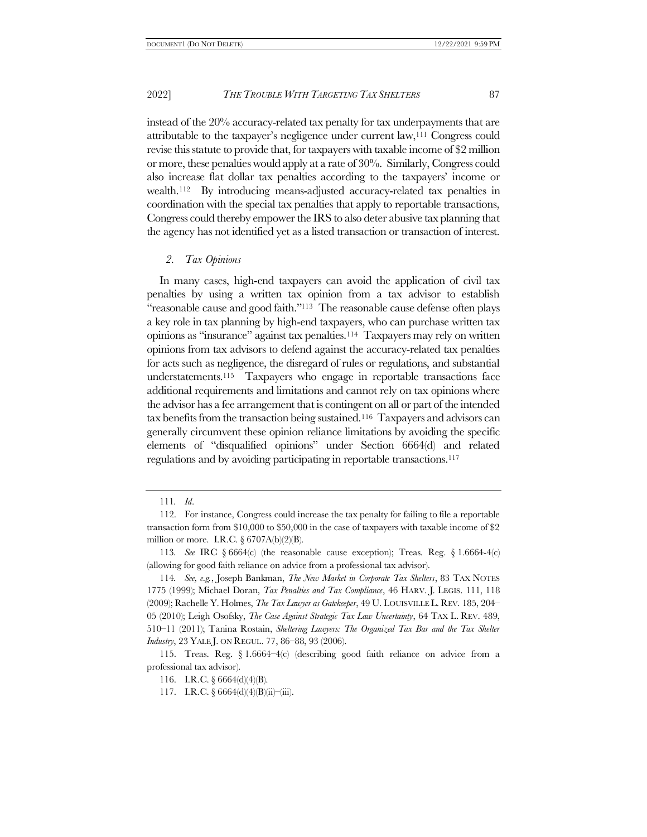instead of the 20% accuracy-related tax penalty for tax underpayments that are attributable to the taxpayer's negligence under current law,<sup>111</sup> Congress could revise this statute to provide that, for taxpayers with taxable income of \$2 million or more, these penalties would apply at a rate of 30%. Similarly, Congress could also increase flat dollar tax penalties according to the taxpayers' income or wealth.112 By introducing means-adjusted accuracy-related tax penalties in coordination with the special tax penalties that apply to reportable transactions, Congress could thereby empower the IRS to also deter abusive tax planning that the agency has not identified yet as a listed transaction or transaction of interest.

#### <span id="page-18-0"></span>*2. Tax Opinions*

In many cases, high-end taxpayers can avoid the application of civil tax penalties by using a written tax opinion from a tax advisor to establish "reasonable cause and good faith."113 The reasonable cause defense often plays a key role in tax planning by high-end taxpayers, who can purchase written tax opinions as "insurance" against tax penalties.114 Taxpayers may rely on written opinions from tax advisors to defend against the accuracy-related tax penalties for acts such as negligence, the disregard of rules or regulations, and substantial understatements.115 Taxpayers who engage in reportable transactions face additional requirements and limitations and cannot rely on tax opinions where the advisor has a fee arrangement that is contingent on all or part of the intended tax benefits from the transaction being sustained.116 Taxpayers and advisors can generally circumvent these opinion reliance limitations by avoiding the specific elements of "disqualified opinions" under Section 6664(d) and related regulations and by avoiding participating in reportable transactions.<sup>117</sup>

<sup>111</sup>*. Id*.

<sup>112.</sup> For instance, Congress could increase the tax penalty for failing to file a reportable transaction form from \$10,000 to \$50,000 in the case of taxpayers with taxable income of \$2 million or more. I.R.C. § 6707A(b)(2)(B).

<sup>113</sup>*. See* IRC § 6664(c) (the reasonable cause exception); Treas. Reg. § 1.6664-4(c) (allowing for good faith reliance on advice from a professional tax advisor).

<sup>114</sup>*. See, e.g.*, Joseph Bankman, *The New Market in Corporate Tax Shelters*, 83 TAX NOTES 1775 (1999); Michael Doran, *Tax Penalties and Tax Compliance*, 46 HARV. J. LEGIS. 111, 118 (2009); Rachelle Y. Holmes, *The Tax Lawyer as Gatekeeper*, 49 U. LOUISVILLE L. REV*.* 185, 204– 05 (2010); Leigh Osofsky, *The Case Against Strategic Tax Law Uncertainty*, 64 TAX L. REV. 489, 510–11 (2011); Tanina Rostain, *Sheltering Lawyers: The Organized Tax Bar and the Tax Shelter Industry*, 23 YALE J. ON REGUL. 77, 86–88, 93 (2006).

<sup>115.</sup> Treas. Reg. § 1.6664–4(c) (describing good faith reliance on advice from a professional tax advisor).

<sup>116.</sup> I.R.C. § 6664(d)(4)(B).

<sup>117.</sup> I.R.C. § 6664(d)(4)(B)(ii)–(iii).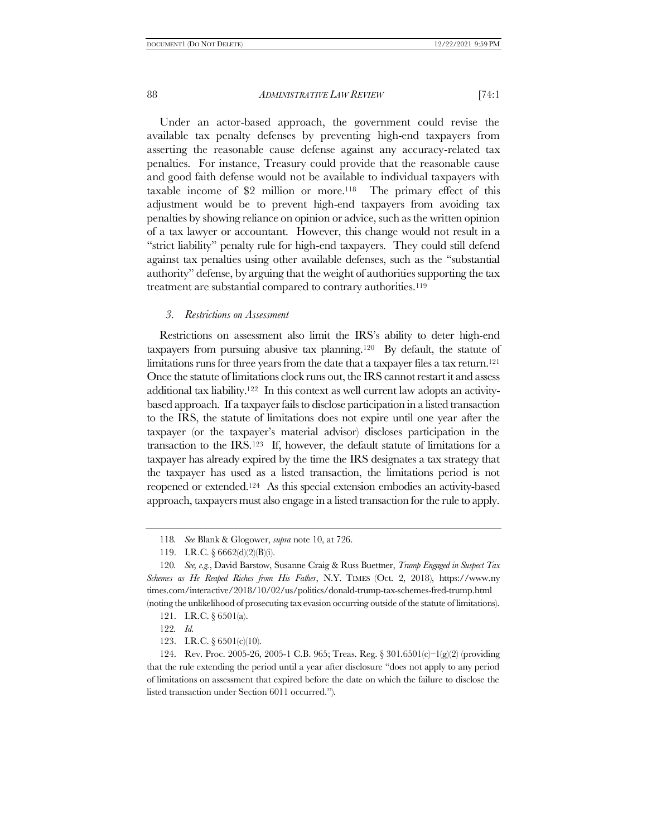Under an actor-based approach, the government could revise the available tax penalty defenses by preventing high-end taxpayers from asserting the reasonable cause defense against any accuracy-related tax penalties. For instance, Treasury could provide that the reasonable cause and good faith defense would not be available to individual taxpayers with taxable income of \$2 million or more.118 The primary effect of this adjustment would be to prevent high-end taxpayers from avoiding tax penalties by showing reliance on opinion or advice, such as the written opinion of a tax lawyer or accountant. However, this change would not result in a "strict liability" penalty rule for high-end taxpayers. They could still defend against tax penalties using other available defenses, such as the "substantial authority" defense, by arguing that the weight of authorities supporting the tax treatment are substantial compared to contrary authorities.<sup>119</sup>

#### <span id="page-19-0"></span>*3. Restrictions on Assessment*

Restrictions on assessment also limit the IRS's ability to deter high-end taxpayers from pursuing abusive tax planning.120 By default, the statute of limitations runs for three years from the date that a taxpayer files a tax return.<sup>121</sup> Once the statute of limitations clock runs out, the IRS cannot restart it and assess additional tax liability.122 In this context as well current law adopts an activitybased approach. If a taxpayer fails to disclose participation in a listed transaction to the IRS, the statute of limitations does not expire until one year after the taxpayer (or the taxpayer's material advisor) discloses participation in the transaction to the IRS.123 If, however, the default statute of limitations for a taxpayer has already expired by the time the IRS designates a tax strategy that the taxpayer has used as a listed transaction, the limitations period is not reopened or extended.124 As this special extension embodies an activity-based approach, taxpayers must also engage in a listed transaction for the rule to apply.

122*. Id.* 

123. I.R.C. § 6501(c)(10).

<sup>118</sup>*. See* Blank & Glogower, *supra* not[e 10,](#page-2-0) at 726.

<sup>119.</sup> I.R.C. § 6662(d)(2)(B)(i).

<sup>120</sup>*. See, e.g.*, David Barstow, Susanne Craig & Russ Buettner, *Trump Engaged in Suspect Tax Schemes as He Reaped Riches from His Father*, N.Y. TIMES (Oct. 2, 2018), https://www.ny times.com/interactive/2018/10/02/us/politics/donald-trump-tax-schemes-fred-trump.html (noting the unlikelihood of prosecuting tax evasion occurring outside of the statute of limitations).

<sup>121.</sup> I.R.C. § 6501(a).

<sup>124.</sup> Rev. Proc. 2005-26, 2005-1 C.B. 965; Treas. Reg. § 301.6501(c)–1(g)(2) (providing that the rule extending the period until a year after disclosure "does not apply to any period of limitations on assessment that expired before the date on which the failure to disclose the listed transaction under Section 6011 occurred.").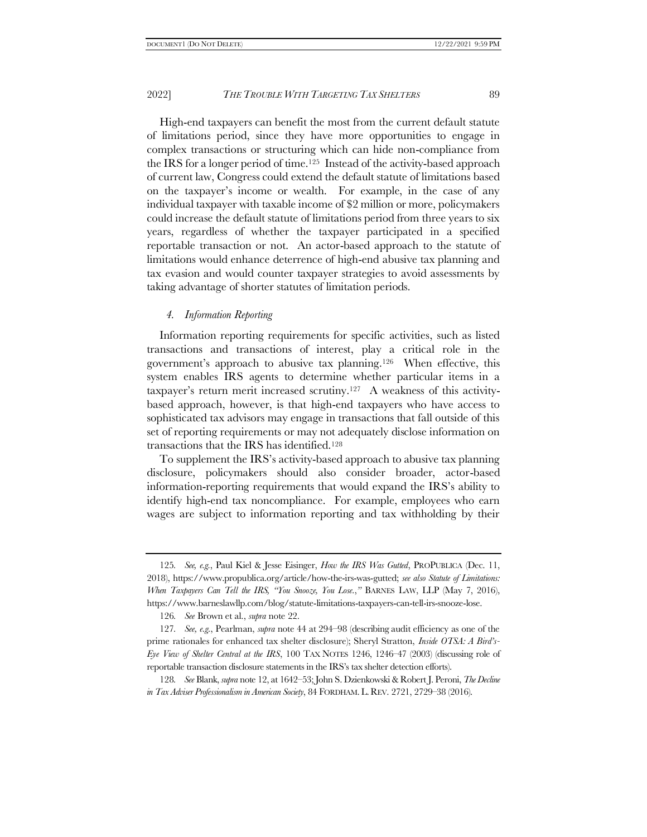High-end taxpayers can benefit the most from the current default statute of limitations period, since they have more opportunities to engage in complex transactions or structuring which can hide non-compliance from the IRS for a longer period of time.125 Instead of the activity-based approach of current law, Congress could extend the default statute of limitations based on the taxpayer's income or wealth. For example, in the case of any individual taxpayer with taxable income of \$2 million or more, policymakers could increase the default statute of limitations period from three years to six years, regardless of whether the taxpayer participated in a specified reportable transaction or not. An actor-based approach to the statute of limitations would enhance deterrence of high-end abusive tax planning and tax evasion and would counter taxpayer strategies to avoid assessments by taking advantage of shorter statutes of limitation periods.

# *4. Information Reporting*

Information reporting requirements for specific activities, such as listed transactions and transactions of interest, play a critical role in the government's approach to abusive tax planning.126 When effective, this system enables IRS agents to determine whether particular items in a taxpayer's return merit increased scrutiny.127 A weakness of this activitybased approach, however, is that high-end taxpayers who have access to sophisticated tax advisors may engage in transactions that fall outside of this set of reporting requirements or may not adequately disclose information on transactions that the IRS has identified.<sup>128</sup>

To supplement the IRS's activity-based approach to abusive tax planning disclosure, policymakers should also consider broader, actor-based information-reporting requirements that would expand the IRS's ability to identify high-end tax noncompliance. For example, employees who earn wages are subject to information reporting and tax withholding by their

128*. See* Blank, *supra* not[e 12,](#page-3-0) at 1642–53; John S. Dzienkowski & Robert J. Peroni, *The Decline in Tax Adviser Professionalism in American Society*, 84 FORDHAM.L.REV. 2721, 2729–38 (2016).

<sup>125</sup>*. See, e.g.*, Paul Kiel & Jesse Eisinger, *How the IRS Was Gutted*, PROPUBLICA (Dec. 11, 2018), https://www.propublica.org/article/how-the-irs-was-gutted; *see also Statute of Limitations: When Taxpayers Can Tell the IRS, "You Snooze, You Lose.,"* BARNES LAW, LLP (May 7, 2016), https://www.barneslawllp.com/blog/statute-limitations-taxpayers-can-tell-irs-snooze-lose.

<sup>126</sup>*. See* Brown et al., *supra* not[e 22.](#page-5-2)

<sup>127</sup>*. See, e.g.*, Pearlman, *supra* not[e 44](#page-7-2) at 294–98 (describing audit efficiency as one of the prime rationales for enhanced tax shelter disclosure); Sheryl Stratton, *Inside OTSA: A Bird's-Eye View of Shelter Central at the IRS*, 100 TAX NOTES 1246, 1246–47 (2003) (discussing role of reportable transaction disclosure statements in the IRS's tax shelter detection efforts).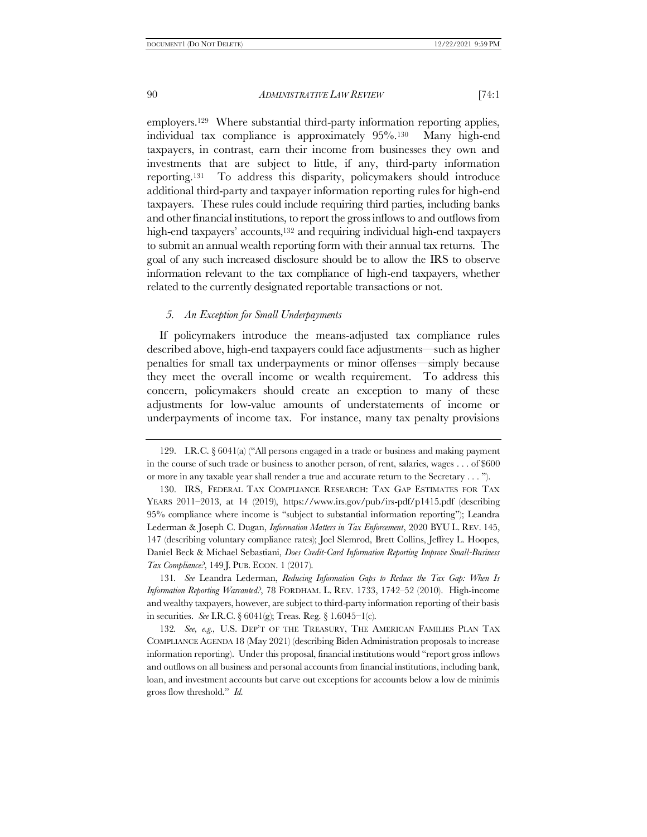employers.129 Where substantial third-party information reporting applies, individual tax compliance is approximately 95%.130 Many high-end taxpayers, in contrast, earn their income from businesses they own and investments that are subject to little, if any, third-party information reporting.131 To address this disparity, policymakers should introduce additional third-party and taxpayer information reporting rules for high-end taxpayers. These rules could include requiring third parties, including banks and other financial institutions, to report the gross inflows to and outflows from high-end taxpayers' accounts,<sup>132</sup> and requiring individual high-end taxpayers to submit an annual wealth reporting form with their annual tax returns. The goal of any such increased disclosure should be to allow the IRS to observe information relevant to the tax compliance of high-end taxpayers, whether related to the currently designated reportable transactions or not.

#### *5. An Exception for Small Underpayments*

If policymakers introduce the means-adjusted tax compliance rules described above, high-end taxpayers could face adjustments—such as higher penalties for small tax underpayments or minor offenses—simply because they meet the overall income or wealth requirement. To address this concern, policymakers should create an exception to many of these adjustments for low-value amounts of understatements of income or underpayments of income tax. For instance, many tax penalty provisions

131*. See* Leandra Lederman, *Reducing Information Gaps to Reduce the Tax Gap: When Is Information Reporting Warranted?*, 78 FORDHAM. L. REV. 1733, 1742–52 (2010). High-income and wealthy taxpayers, however, are subject to third-party information reporting of their basis in securities. *See* I.R.C. § 6041(g); Treas. Reg. § 1.6045–1(c).

132*. See, e.g.,* U.S. DEP'T OF THE TREASURY, THE AMERICAN FAMILIES PLAN TAX COMPLIANCE AGENDA 18 (May 2021) (describing Biden Administration proposals to increase information reporting). Under this proposal, financial institutions would "report gross inflows and outflows on all business and personal accounts from financial institutions, including bank, loan, and investment accounts but carve out exceptions for accounts below a low de minimis gross flow threshold." *Id.* 

<sup>129.</sup> I.R.C. § 6041(a) ("All persons engaged in a trade or business and making payment in the course of such trade or business to another person, of rent, salaries, wages . . . of \$600 or more in any taxable year shall render a true and accurate return to the Secretary . . . ").

<sup>130.</sup> IRS, FEDERAL TAX COMPLIANCE RESEARCH: TAX GAP ESTIMATES FOR TAX YEARS 2011–2013, at 14 (2019), https://www.irs.gov/pub/irs-pdf/p1415.pdf (describing 95% compliance where income is "subject to substantial information reporting"); Leandra Lederman & Joseph C. Dugan, *Information Matters in Tax Enforcement*, 2020 BYU L. REV. 145, 147 (describing voluntary compliance rates); Joel Slemrod, Brett Collins, Jeffrey L. Hoopes, Daniel Beck & Michael Sebastiani, *Does Credit-Card Information Reporting Improve Small-Business Tax Compliance?*, 149 J. PUB. ECON. 1 (2017).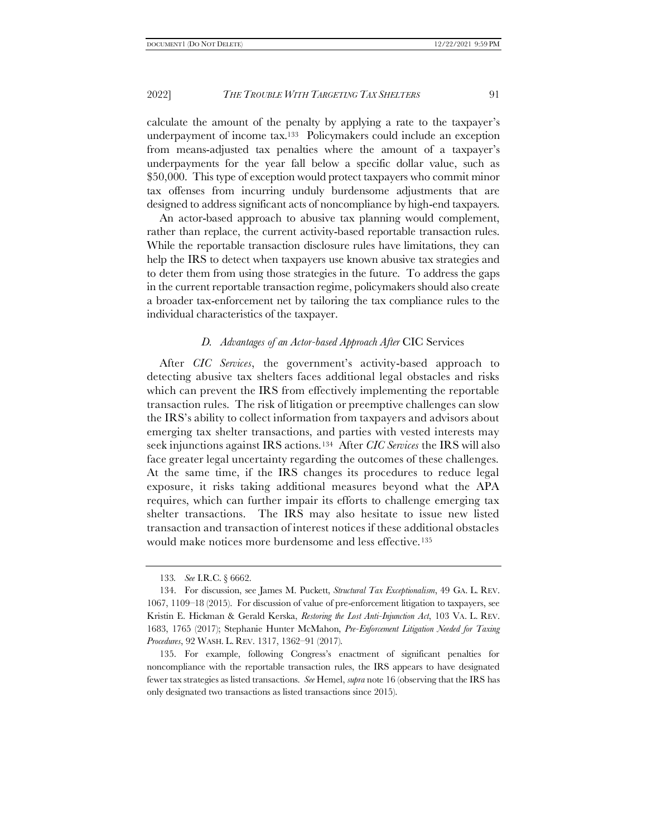calculate the amount of the penalty by applying a rate to the taxpayer's underpayment of income tax.133 Policymakers could include an exception from means-adjusted tax penalties where the amount of a taxpayer's underpayments for the year fall below a specific dollar value, such as \$50,000. This type of exception would protect taxpayers who commit minor tax offenses from incurring unduly burdensome adjustments that are designed to address significant acts of noncompliance by high-end taxpayers.

An actor-based approach to abusive tax planning would complement, rather than replace, the current activity-based reportable transaction rules. While the reportable transaction disclosure rules have limitations, they can help the IRS to detect when taxpayers use known abusive tax strategies and to deter them from using those strategies in the future. To address the gaps in the current reportable transaction regime, policymakers should also create a broader tax-enforcement net by tailoring the tax compliance rules to the individual characteristics of the taxpayer.

# *D. Advantages of an Actor-based Approach After* CIC Services

After *CIC Services*, the government's activity-based approach to detecting abusive tax shelters faces additional legal obstacles and risks which can prevent the IRS from effectively implementing the reportable transaction rules. The risk of litigation or preemptive challenges can slow the IRS's ability to collect information from taxpayers and advisors about emerging tax shelter transactions, and parties with vested interests may seek injunctions against IRS actions.134 After *CIC Services* the IRS will also face greater legal uncertainty regarding the outcomes of these challenges. At the same time, if the IRS changes its procedures to reduce legal exposure, it risks taking additional measures beyond what the APA requires, which can further impair its efforts to challenge emerging tax shelter transactions. The IRS may also hesitate to issue new listed transaction and transaction of interest notices if these additional obstacles would make notices more burdensome and less effective.<sup>135</sup>

<sup>133</sup>*. See* I.R.C. § 6662.

<sup>134.</sup> For discussion, see James M. Puckett, *Structural Tax Exceptionalism*, 49 GA. L. REV. 1067, 1109–18 (2015). For discussion of value of pre-enforcement litigation to taxpayers, see Kristin E. Hickman & Gerald Kerska, *Restoring the Lost Anti-Injunction Act*, 103 VA. L. REV. 1683, 1765 (2017); Stephanie Hunter McMahon, *Pre-Enforcement Litigation Needed for Taxing Procedures*, 92 WASH. L. REV. 1317, 1362–91 (2017).

<sup>135.</sup> For example, following Congress's enactment of significant penalties for noncompliance with the reportable transaction rules, the IRS appears to have designated fewer tax strategies as listed transactions. *See* Hemel, *supra* not[e 16](#page-3-1) (observing that the IRS has only designated two transactions as listed transactions since 2015).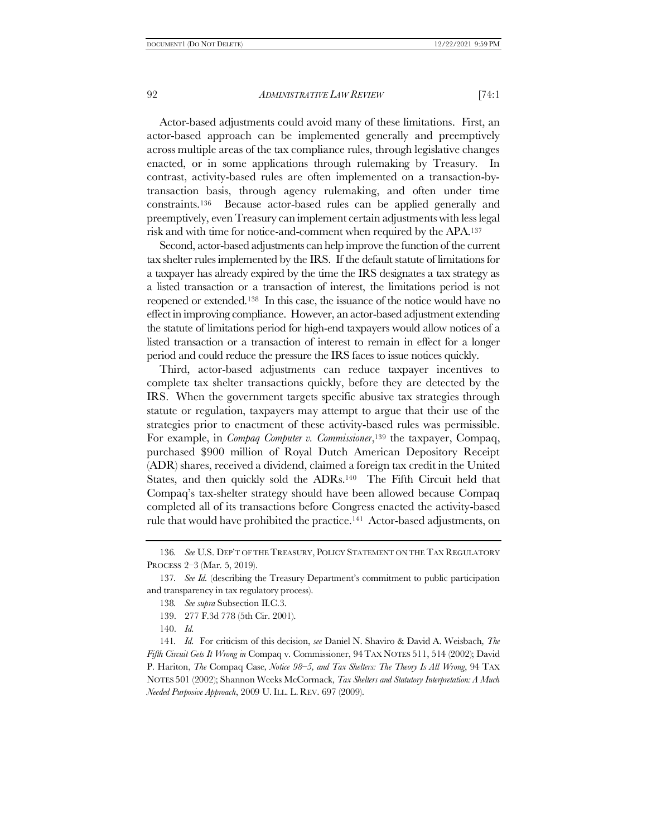Actor-based adjustments could avoid many of these limitations. First, an actor-based approach can be implemented generally and preemptively across multiple areas of the tax compliance rules, through legislative changes enacted, or in some applications through rulemaking by Treasury. In contrast, activity-based rules are often implemented on a transaction-bytransaction basis, through agency rulemaking, and often under time constraints.<sup>136</sup> Because actor-based rules can be applied generally and preemptively, even Treasury can implement certain adjustments with less legal risk and with time for notice-and-comment when required by the APA.<sup>137</sup>

Second, actor-based adjustments can help improve the function of the current tax shelter rules implemented by the IRS. If the default statute of limitations for a taxpayer has already expired by the time the IRS designates a tax strategy as a listed transaction or a transaction of interest, the limitations period is not reopened or extended.138 In this case, the issuance of the notice would have no effect in improving compliance. However, an actor-based adjustment extending the statute of limitations period for high-end taxpayers would allow notices of a listed transaction or a transaction of interest to remain in effect for a longer period and could reduce the pressure the IRS faces to issue notices quickly.

Third, actor-based adjustments can reduce taxpayer incentives to complete tax shelter transactions quickly, before they are detected by the IRS. When the government targets specific abusive tax strategies through statute or regulation, taxpayers may attempt to argue that their use of the strategies prior to enactment of these activity-based rules was permissible. For example, in *Compaq Computer v. Commissioner*, <sup>139</sup> the taxpayer, Compaq, purchased \$900 million of Royal Dutch American Depository Receipt (ADR) shares, received a dividend, claimed a foreign tax credit in the United States, and then quickly sold the ADRs.<sup>140</sup> The Fifth Circuit held that Compaq's tax-shelter strategy should have been allowed because Compaq completed all of its transactions before Congress enacted the activity-based rule that would have prohibited the practice.141 Actor-based adjustments, on

<sup>136</sup>*. See* U.S. DEP'T OF THE TREASURY, POLICY STATEMENT ON THE TAX REGULATORY PROCESS 2–3 (Mar. 5, 2019).

<sup>137</sup>*. See Id.* (describing the Treasury Department's commitment to public participation and transparency in tax regulatory process).

<sup>138</sup>*. See supra* [Subsection](#page-19-0) II.[C.3.](#page-19-0)

<sup>139.</sup> 277 F.3d 778 (5th Cir. 2001).

<sup>140.</sup> *Id.*

<sup>141</sup>*. Id.* For criticism of this decision, *see* Daniel N. Shaviro & David A. Weisbach*, The Fifth Circuit Gets It Wrong in* Compaq v. Commissioner, 94TAX NOTES 511, 514 (2002); David P. Hariton, *The* Compaq Case*, Notice 98–5, and Tax Shelters: The Theory Is All Wrong*, 94 TAX NOTES 501 (2002); Shannon Weeks McCormack, *Tax Shelters and Statutory Interpretation: A Much Needed Purposive Approach*, 2009 U. ILL. L. REV. 697 (2009).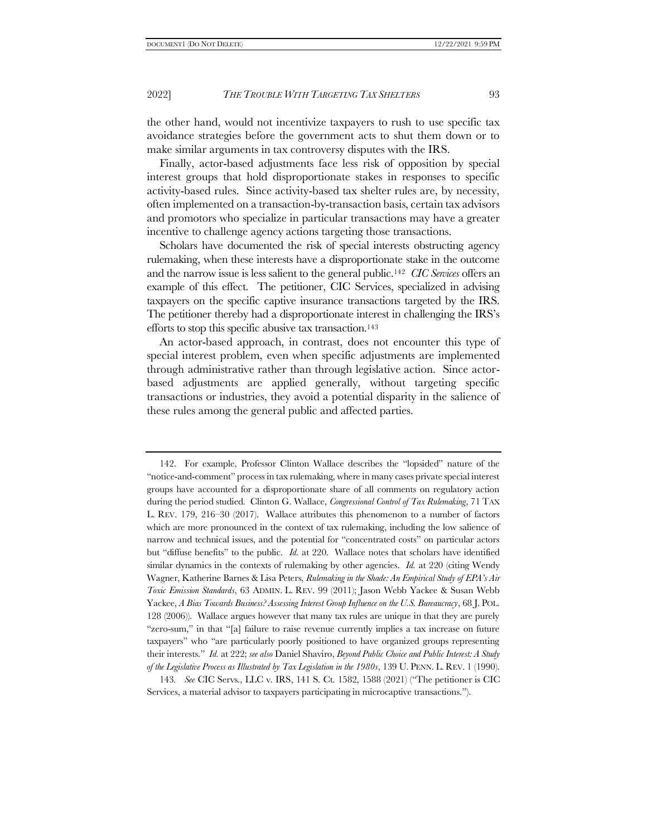the other hand, would not incentivize taxpayers to rush to use specific tax avoidance strategies before the government acts to shut them down or to make similar arguments in tax controversy disputes with the IRS.

Finally, actor-based adjustments face less risk of opposition by special interest groups that hold disproportionate stakes in responses to specific activity-based rules. Since activity-based tax shelter rules are, by necessity, often implemented on a transaction-by-transaction basis, certain tax advisors and promotors who specialize in particular transactions may have a greater incentive to challenge agency actions targeting those transactions.

Scholars have documented the risk of special interests obstructing agency rulemaking, when these interests have a disproportionate stake in the outcome and the narrow issue is less salient to the general public.<sup>142</sup> *CIC Services* offers an example of this effect. The petitioner, CIC Services, specialized in advising taxpayers on the specific captive insurance transactions targeted by the IRS. The petitioner thereby had a disproportionate interest in challenging the IRS's efforts to stop this specific abusive tax transaction.<sup>143</sup>

An actor-based approach, in contrast, does not encounter this type of special interest problem, even when specific adjustments are implemented through administrative rather than through legislative action. Since actorbased adjustments are applied generally, without targeting specific transactions or industries, they avoid a potential disparity in the salience of these rules among the general public and affected parties.

<sup>142.</sup> For example, Professor Clinton Wallace describes the "lopsided" nature of the "notice-and-comment" process in tax rulemaking, where in many cases private special interest groups have accounted for a disproportionate share of all comments on regulatory action during the period studied. Clinton G. Wallace, *Congressional Control of Tax Rulemaking*, 71 TAX L. REV. 179, 216–30 (2017). Wallace attributes this phenomenon to a number of factors which are more pronounced in the context of tax rulemaking, including the low salience of narrow and technical issues, and the potential for "concentrated costs" on particular actors but "diffuse benefits" to the public. *Id.* at 220. Wallace notes that scholars have identified similar dynamics in the contexts of rulemaking by other agencies. *Id.* at 220 (citing Wendy Wagner, Katherine Barnes & Lisa Peters, *Rulemaking in the Shade: An Empirical Study of EPA's Air Toxic Emission Standards*, 63 ADMIN. L. REV. 99 (2011); Jason Webb Yackee & Susan Webb Yackee, *A Bias Towards Business? Assessing Interest Group Influence on the U.S. Bureaucracy*, 68 J. POL. 128 (2006)). Wallace argues however that many tax rules are unique in that they are purely "zero-sum," in that "[a] failure to raise revenue currently implies a tax increase on future taxpayers" who "are particularly poorly positioned to have organized groups representing their interests." *Id.* at 222; *see also* Daniel Shaviro, *Beyond Public Choice and Public Interest: A Study of the Legislative Process as Illustrated by Tax Legislation in the 1980s*, 139 U. PENN. L. REV. 1 (1990).

<sup>143</sup>*. See* CIC Servs., LLC v. IRS, 141 S. Ct. 1582, 1588 (2021) ("The petitioner is CIC Services, a material advisor to taxpayers participating in microcaptive transactions.").